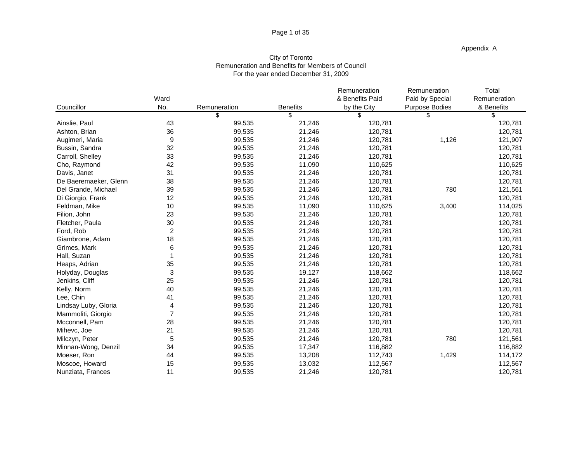### Page 1 of 35

Appendix A

# City of Toronto Remuneration and Benefits for Members of Council For the year ended December 31, 2009

|                       |          |              |                 | Remuneration    | Remuneration    | Total        |
|-----------------------|----------|--------------|-----------------|-----------------|-----------------|--------------|
|                       | Ward     |              |                 | & Benefits Paid | Paid by Special | Remuneration |
| Councillor            | No.      | Remuneration | <b>Benefits</b> | by the City     | Purpose Bodies  | & Benefits   |
|                       |          |              |                 |                 |                 |              |
| Ainslie, Paul         | 43       | 99,535       | 21,246          | 120,781         |                 | 120,781      |
| Ashton, Brian         | 36       | 99,535       | 21,246          | 120,781         |                 | 120,781      |
| Augimeri, Maria       | $\alpha$ | 99,535       | 21,246          | 120,781         | 1,126           | 121,907      |
| Bussin, Sandra        | 32       | 99,535       | 21,246          | 120,781         |                 | 120,781      |
| Carroll, Shelley      | 33       | 99,535       | 21,246          | 120,781         |                 | 120,781      |
| Cho, Raymond          | 42       | 99,535       | 11,090          | 110,625         |                 | 110,625      |
| Davis, Janet          | 31       | 99,535       | 21,246          | 120,781         |                 | 120,781      |
| De Baeremaeker, Glenn | 38       | 99,535       | 21,246          | 120,781         |                 | 120,781      |
| Del Grande, Michael   | 39       | 99,535       | 21,246          | 120,781         | 780             | 121,561      |
| Di Giorgio, Frank     | 12       | 99,535       | 21,246          | 120,781         |                 | 120,781      |
| Feldman, Mike         | 10       | 99,535       | 11,090          | 110,625         | 3,400           | 114,025      |
| Filion, John          | 23       | 99,535       | 21,246          | 120,781         |                 | 120,781      |
| Fletcher, Paula       | 30       | 99,535       | 21,246          | 120,781         |                 | 120,781      |
| Ford, Rob             |          | 99,535       | 21,246          | 120,781         |                 | 120,781      |
| Giambrone, Adam       | 18       | 99,535       | 21,246          | 120,781         |                 | 120,781      |
| Grimes, Mark          |          | 99,535       | 21,246          | 120,781         |                 | 120,781      |
| Hall, Suzan           |          | 99,535       | 21,246          | 120,781         |                 | 120,781      |
| Heaps, Adrian         | 35       | 99,535       | 21,246          | 120,781         |                 | 120,781      |
| Holyday, Douglas      |          | 99,535       | 19,127          | 118,662         |                 | 118,662      |
| Jenkins, Cliff        | 25       | 99,535       | 21,246          | 120,781         |                 | 120,781      |
| Kelly, Norm           | 40       | 99,535       | 21,246          | 120,781         |                 | 120,781      |
| Lee, Chin             | 41       | 99,535       | 21,246          | 120,781         |                 | 120,781      |
| Lindsay Luby, Gloria  |          | 99,535       | 21,246          | 120,781         |                 | 120,781      |
| Mammoliti, Giorgio    |          | 99,535       | 21,246          | 120,781         |                 | 120,781      |
| Mcconnell, Pam        | 28       | 99,535       | 21,246          | 120,781         |                 | 120,781      |
| Mihevc, Joe           | 21       | 99,535       | 21,246          | 120,781         |                 | 120,781      |
| Milczyn, Peter        |          | 99,535       | 21,246          | 120,781         | 780             | 121,561      |
| Minnan-Wong, Denzil   | 34       | 99,535       | 17,347          | 116,882         |                 | 116,882      |
| Moeser, Ron           | 44       | 99,535       | 13,208          | 112,743         | 1,429           | 114,172      |
| Moscoe, Howard        | 15       | 99,535       | 13,032          | 112,567         |                 | 112,567      |
| Nunziata, Frances     | 11       | 99,535       | 21,246          | 120,781         |                 | 120,781      |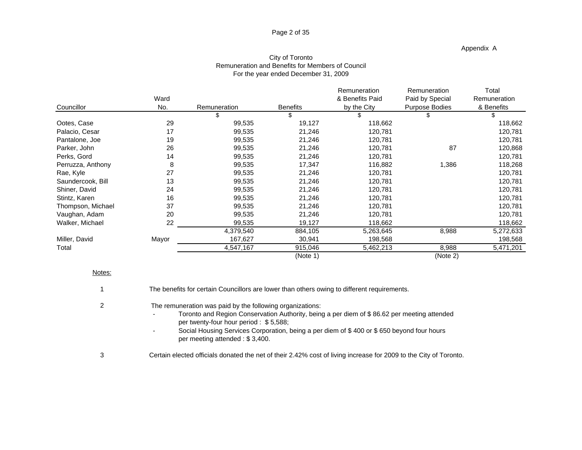## Page 2 of 35

### Appendix A

# City of Toronto Remuneration and Benefits for Members of Council For the year ended December 31, 2009

|       |              |                                                                                                                                                | Remuneration                                                                                                                                         | Remuneration                                                                                                                                                          | Total                                      |
|-------|--------------|------------------------------------------------------------------------------------------------------------------------------------------------|------------------------------------------------------------------------------------------------------------------------------------------------------|-----------------------------------------------------------------------------------------------------------------------------------------------------------------------|--------------------------------------------|
| Ward  |              |                                                                                                                                                | & Benefits Paid                                                                                                                                      |                                                                                                                                                                       | Remuneration                               |
| No.   | Remuneration | <b>Benefits</b>                                                                                                                                | by the City                                                                                                                                          | Purpose Bodies                                                                                                                                                        | & Benefits                                 |
|       |              |                                                                                                                                                |                                                                                                                                                      |                                                                                                                                                                       |                                            |
| 29    |              | 19,127                                                                                                                                         | 118,662                                                                                                                                              |                                                                                                                                                                       | 118,662                                    |
| 17    |              |                                                                                                                                                |                                                                                                                                                      |                                                                                                                                                                       | 120,781                                    |
| 19    |              |                                                                                                                                                |                                                                                                                                                      |                                                                                                                                                                       | 120,781                                    |
| 26    |              |                                                                                                                                                |                                                                                                                                                      | 87                                                                                                                                                                    | 120,868                                    |
|       |              |                                                                                                                                                |                                                                                                                                                      |                                                                                                                                                                       | 120,781                                    |
|       |              |                                                                                                                                                |                                                                                                                                                      |                                                                                                                                                                       | 118,268                                    |
|       |              |                                                                                                                                                |                                                                                                                                                      |                                                                                                                                                                       | 120,781                                    |
| 13    |              |                                                                                                                                                |                                                                                                                                                      |                                                                                                                                                                       | 120,781                                    |
| 24    |              |                                                                                                                                                |                                                                                                                                                      |                                                                                                                                                                       | 120,781                                    |
|       |              |                                                                                                                                                |                                                                                                                                                      |                                                                                                                                                                       | 120,781                                    |
| 27    |              |                                                                                                                                                |                                                                                                                                                      |                                                                                                                                                                       | 120,781                                    |
|       |              |                                                                                                                                                |                                                                                                                                                      |                                                                                                                                                                       | 120,781                                    |
|       | 99,535       |                                                                                                                                                |                                                                                                                                                      |                                                                                                                                                                       | 118,662                                    |
|       |              |                                                                                                                                                |                                                                                                                                                      |                                                                                                                                                                       | 5,272,633                                  |
| Mayor | 167,627      |                                                                                                                                                |                                                                                                                                                      |                                                                                                                                                                       | 198,568                                    |
|       |              |                                                                                                                                                |                                                                                                                                                      |                                                                                                                                                                       | 5,471,201                                  |
|       |              | (Note 1)                                                                                                                                       |                                                                                                                                                      | (Note 2)                                                                                                                                                              |                                            |
|       |              | 99,535<br>99,535<br>99,535<br>99,535<br>99,535<br>99,535<br>99,535<br>99,535<br>99,535<br>99,535<br>99,535<br>99,535<br>4,379,540<br>4,547,167 | 21,246<br>21,246<br>21,246<br>21,246<br>17,347<br>21,246<br>21,246<br>21,246<br>21,246<br>21,246<br>21,246<br>19,127<br>884,105<br>30,941<br>915,046 | 120,781<br>120,781<br>120,781<br>120,781<br>116,882<br>120,781<br>120,781<br>120,781<br>120,781<br>120,781<br>120,781<br>118,662<br>5,263,645<br>198,568<br>5,462,213 | Paid by Special<br>1,386<br>8,988<br>8,988 |

### Notes:

| The benefits for certain Councillors are lower than others owing to different requirements.                                                                                                                                                                                                                                      |
|----------------------------------------------------------------------------------------------------------------------------------------------------------------------------------------------------------------------------------------------------------------------------------------------------------------------------------|
| The remuneration was paid by the following organizations:<br>Toronto and Region Conservation Authority, being a per diem of \$86.62 per meeting attended<br>per twenty-four hour period: \$5,588;<br>Social Housing Services Corporation, being a per diem of \$400 or \$650 beyond four hours<br>per meeting attended: \$3,400. |

3 Certain elected officials donated the net of their 2.42% cost of living increase for 2009 to the City of Toronto.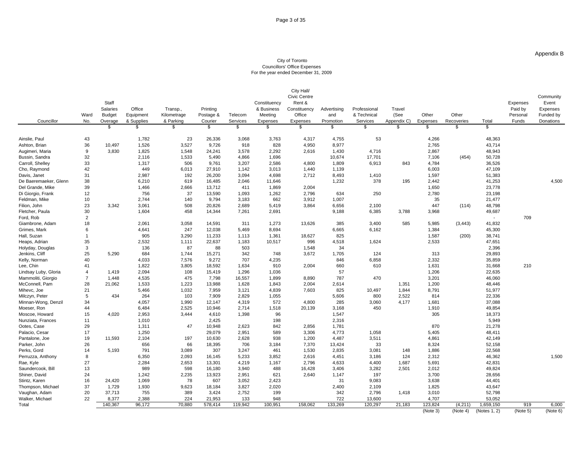### City of Toronto Councillors' Office Expenses For the year ended December 31, 2009

|                                   |                |                |            |                                |          |                                |              | City Hall/                          |                 |              |                        |                                 |                     |                                                  |                    |
|-----------------------------------|----------------|----------------|------------|--------------------------------|----------|--------------------------------|--------------|-------------------------------------|-----------------|--------------|------------------------|---------------------------------|---------------------|--------------------------------------------------|--------------------|
|                                   |                |                |            |                                |          |                                |              | Civic Centre                        |                 |              |                        |                                 |                     |                                                  | Community          |
|                                   |                | Staff          |            |                                |          |                                | Constituency | Rent &                              |                 |              |                        |                                 |                     | Expenses                                         | Event              |
|                                   |                | Salaries       | Office     | Transp.,                       | Printing |                                |              | & Business Constituency Advertising |                 | Professional | Travel                 |                                 |                     | Paid by                                          | Expenses           |
|                                   | Ward Budget    |                | Equipment  | Kilometrage                    |          | Postage & Telecom              | Meeting      | Office                              | and             | & Technical  | (See                   | Other                           | Other               |                                                  | Personal Funded by |
| Councillor                        | No. Overage    |                | & Supplies | $rac{8 \text{ Parkinson}}{\$}$ | Courier  | Services                       | Expenses     | Expenses                            | Promotion       | Services     |                        | Appendix C) Expenses Recoveries | Total               | Funds                                            | Donations          |
|                                   |                |                |            |                                |          |                                |              |                                     |                 |              |                        |                                 |                     |                                                  |                    |
|                                   |                |                |            |                                |          |                                |              |                                     |                 |              |                        |                                 |                     |                                                  |                    |
| Ainslie, Paul                     | 43             |                | 1,782      | 23                             | 26,336   | 3,068                          | 3,763        | 4,317                               | 4,755           | 53           |                        | 4,266                           |                     | 48,363                                           |                    |
| Ashton, Brian                     | 36             | 10,497         | 1,526      | 3,527                          | 9,726    | 918                            | 828          | 4,950                               | 8,977           |              |                        | 2,765                           |                     | 43,714                                           |                    |
| Augimeri, Maria<br>Bussin, Sandra | 9              | 3,830          | 1,825      | 1,548                          | 24,241   | 3,578                          | 2,292        | 2,616                               | 1,430           | 4,716        |                        | 2,867                           |                     | 48,943                                           |                    |
|                                   | 32             |                | 2,116      | 1,533                          | 5,490    | 4,866                          | 1,696        |                                     | 10,674          | 17,701       |                        | 7,106                           | (454)               | 50,728                                           |                    |
| Carroll, Shelley                  |                |                | 1,317      | 506                            | 9,761    | 3,207                          | 2,586        | 4,800                               | 1,809           | 6,913        | 843                    | 4,784                           |                     | 36,526                                           |                    |
| Cho, Raymond                      | 42             |                | 449        | 6,013                          | 27,910   | 1,142                          | 3,013        | 1,440                               | 1,139           |              |                        | 6,003                           |                     | 47,109                                           |                    |
| Davis, Janet                      |                |                | 2,987      | 192                            | 26,200   | 3,094                          | 4,698        | 2,712                               | 8,493           | 1,410        |                        | 1,597                           |                     | 51,383                                           |                    |
| De Baeremaeker, Glenn             | -38            |                | 6,210      | 619                            | 16,485   | 2,046                          | 11,646       |                                     | 1,232           | 378          | 195                    | 2,442                           |                     | 41,253                                           | 4,500              |
| Del Grande, Mike                  |                |                | 1,466      | 2,666                          | 13,712   | 411                            | 1,869        | 2,004                               |                 |              |                        | 1,650                           |                     | 23,778                                           |                    |
| Di Giorgio, Frank                 |                |                | 756        | 37                             | 13,590   | 1,093                          | 1,262        | 2,796                               | 634             | 250          |                        | 2,780                           |                     | 23,198                                           |                    |
| Feldman, Mike                     |                |                | 2,744      | 140                            | 9,794    | 3,183                          | 662          | 3,912                               | 1,007           |              |                        | 35                              |                     | 21,477                                           |                    |
| Filion, John                      | 23             | 3,342          | 3,061      | 508                            | 20,826   | 2,689                          | 5,419        | 3,864                               | 6,656           | 2,100        |                        | 447                             | (114)               | 48,798                                           |                    |
| Fletcher, Paula                   |                |                | 1,604      | 458                            | 14,344   | 7,261                          | 2,691        |                                     | 9,188           | 6,385        | 3,788                  | 3,968                           |                     | 49,687                                           |                    |
| Ford, Rob                         |                |                |            |                                |          |                                |              |                                     |                 |              |                        |                                 |                     | 709                                              |                    |
| Giambrone, Adam                   | 18             |                | 2,061      | 3,058                          | 14,591   | 311                            | 1,273        | 13,626                              | 385             | 3,400        | 585                    | 5,985                           | (3, 443)            | 41,832                                           |                    |
| Grimes, Mark                      |                |                | 4,641      | 247                            | 12,038   | 5,469                          | 8,694        |                                     | 6,665           | 6,162        |                        | 1,384                           |                     | 45,300                                           |                    |
| Hall, Suzan                       |                |                | 905        | 3,290                          | 11,233   | 1,113                          | 1,361        | 18,627                              | 825             |              |                        | 1,587                           | (200)               | 38,741                                           |                    |
| Heaps, Adrian                     |                |                | 2,532      | 1,111                          | 22,637   | 1,183                          | 10,517       | 996                                 | 4,518           | 1,624        |                        | 2,533                           |                     | 47,651                                           |                    |
| Holyday, Douglas                  |                |                | 136        | 87                             | 88       | 503                            |              | 1,548                               |                 |              |                        |                                 |                     | 2,396                                            |                    |
| Jenkins, Cliff                    | 25             | 5,290          | 684        | 1,744                          | 15,271   | 342                            | 748          | 3,672                               | 1,705           | 124          |                        | 313                             |                     | 29,893                                           |                    |
| Kelly, Norman                     | 40             |                | 4,033      | 7,576                          | 9,272    | 707                            | 4,235        |                                     | 846             | 6,858        |                        | 2,332                           |                     | 35,859                                           |                    |
| Lee, Chin                         |                |                | 1,822      | 3,805                          | 18,592   | 1,634                          | 910          | 2,004                               | 660             | 610          |                        | 1,631                           |                     | 31,668<br>210                                    |                    |
| Lindsay Luby, Gloria              | $\overline{4}$ | 1,419          | 2,094      | 108                            | 15,419   | 1,296                          | 1,036        |                                     |                 |              |                        | 1,206                           |                     | 22,635                                           |                    |
| Mammoliti, Giorgio                | $\overline{7}$ | 1,448          | 4,535      | 475                            | 7,798    | 16,557                         | 1,899        | 8,890                               | 787             | 470          |                        | 3,201                           |                     | 46,060                                           |                    |
| McConnell, Pam                    | 28             | 21,062         | 1,533      | 1,223                          | 13,988   | 1,628                          | 1,843        | 2,004                               | 2,614           |              | 1,351                  | 1,200                           |                     | 48,446                                           |                    |
| Mihevc, Joe                       |                |                | 5,466      | 1,032                          | 7,959    | 3,121                          | 4,839        | 7,603                               | 825             | 10,497       | 1,844                  | 8,791                           |                     | 51,977                                           |                    |
| Milczyn, Peter                    |                | 434            | 264        | 103                            | 7,909    | 2,829                          | 1,055        |                                     | 5,606           | 800          | 2,522                  | 814                             |                     | 22,336                                           |                    |
| Minnan-Wong, Denzil               | 34             |                | 4,057      | 1,990                          | 12,147   | 4,319                          | 572          | 4,800                               | 285             | 3,060        | 4,177                  | 1,681                           |                     | 37,088                                           |                    |
| Moeser, Ron                       | 44             |                | 6,484      | 2,525                          | 10,946   | 2,714                          | 1,518        | 20,139                              | 3,168           | 450          |                        | 1,910                           |                     | 49,854                                           |                    |
| Moscoe, Howard                    | 15             | 4,020          | 2,953      | 3,444                          | 4,610    | 1,398                          | 96           |                                     | 1,547           |              |                        | 305                             |                     | 18,373                                           |                    |
| Nunziata, Frances                 | 11             |                | 1,010      |                                | 2,425    |                                | 198          |                                     | 2,316           |              |                        |                                 |                     | 5,949                                            |                    |
| Ootes, Case                       |                |                | 1,311      | 47                             | 10,948   | 2,623                          | 842          | 2,856                               | 1,781           |              |                        | 870                             |                     | 21,278                                           |                    |
| Palacio, Cesar                    | 17             |                | 1,250      |                                | 29,079   | 2,951                          | 589          | 3,306                               | 4,773           | 1,058        |                        | 5,405                           |                     | 48,411                                           |                    |
| Pantalone, Joe                    | 19             | 11,593         | 2,104      | 197                            | 10,630   | 2,628                          | 938          | 1,200                               | 4,487           | 3,511        |                        | 4,861                           |                     | 42,149                                           |                    |
| Parker, John                      | 26             |                | 656        | 66                             | 18,395   | 706                            | 3,184        | 7,370                               | 13,424          | 33           |                        | 8,324                           |                     | 52,158                                           |                    |
| Perks, Gord                       | 14             | 5,193          | 791        | 3,089                          | 307      | 3,247                          | 461          | 1,530                               | 2,835           | 3,081        | 148                    | 1,886                           |                     | 22,568                                           |                    |
| Perruzza, Anthony                 |                |                | 6,350      | 2,093                          | 16,145   | 5,233                          | 3,852        | 2,616                               | 4,451           | 3,186        | 124                    | 2,312                           |                     | 46,362                                           | 1,500              |
| Rae, Kyle                         |                |                | 2,284      | 2,653                          | 13,301   | 4,219                          | 1,167        | 2,796                               | 4,633           | 4,400        | 1,687                  | 5,691                           |                     | 42,831                                           |                    |
| Saundercook, Bill                 | 13             |                | 989        | 598                            | 16,180   | 3,940                          | 488          | 16,428                              | 3,406           | 3,282        | 2,501                  | 2,012                           |                     | 49,824                                           |                    |
| Shiner, David                     |                |                | 1,242      | 2,235                          | 13,923   | 2,951                          | 621          | 2,640                               | 1,147           | 197          |                        | 3,700                           |                     | 28,656                                           |                    |
| Stintz, Karen                     | 16             | 24,420         | 1,069      | 78                             | 607      | 3,052                          | 2,423        |                                     |                 | 9,083        |                        | 3,638                           |                     | 44,401                                           |                    |
| Thompson, Michael                 | 37             | 1,729          | 1,930      | 9,623                          | 18,184   | 3,827                          | 2,020        |                                     | 2,400           | 2,109        |                        | 1,825                           |                     | 43,647                                           |                    |
| Vaughan, Adam                     | 20             | 37,713         | 755        | 389                            | 3,424    | 2,752                          | 199          |                                     | 342             | 2,796        | 1,418                  | 3,010                           |                     | 52,798                                           |                    |
|                                   |                | 8,377          | 2.388      | 224                            | 21.953   | 133                            | QAB          |                                     | 722             | 13.600       |                        | 4.707                           |                     | 53.052                                           |                    |
|                                   |                |                |            |                                |          |                                |              |                                     |                 |              |                        |                                 |                     |                                                  |                    |
| Walker, Michael<br>Total          |                | 140,367 96,172 |            |                                |          | 70,880 578,414 119,942 100,951 |              |                                     | 158,062 133,269 |              | 120,297 21,183 123,824 |                                 | $(4,211)$ 1,659,150 | (Note 3) (Note 4) (Notes 1, 2) (Note 5) (Note 6) | 919 6,000          |

Appendix B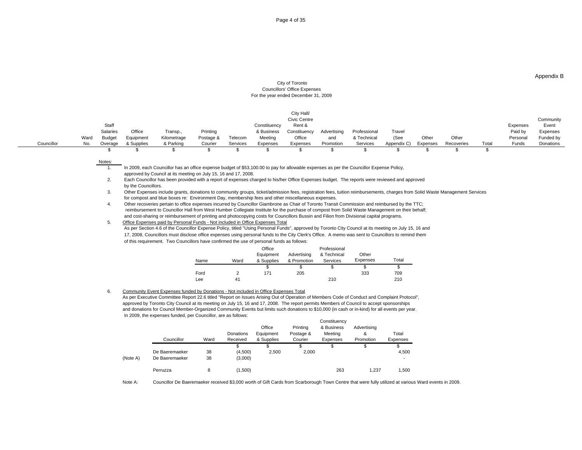Appendix B

#### City of Toronto Councillors' Office Expenses For the year ended December 31, 2009

|                                |                                                                                                                                                                                                               | Civic Centre          |             |                      |            |          | Communi <sup>+</sup> |
|--------------------------------|---------------------------------------------------------------------------------------------------------------------------------------------------------------------------------------------------------------|-----------------------|-------------|----------------------|------------|----------|----------------------|
|                                | Constituency                                                                                                                                                                                                  | Rent &                |             |                      |            | Expenses | Event                |
| Salaries<br>Office<br>Transp., |                                                                                                                                                                                                               | nstituencv            |             |                      |            | Paid by  | Expenses             |
| Ward<br>Kilometrage<br>Budget  | Telecom<br>Meetina                                                                                                                                                                                            | Office<br>and         | & Technical | (See<br>Other        | Other      | Personal | Funded by            |
| & Parking<br>& Supplies        | Courier<br>Expenses                                                                                                                                                                                           | Expenses<br>Promotion | Services    | Appendix C) Expenses | Recoveries | Total    | Funds Donations      |
|                                |                                                                                                                                                                                                               |                       |             |                      |            |          |                      |
|                                |                                                                                                                                                                                                               |                       |             |                      |            |          |                      |
| Notas                          |                                                                                                                                                                                                               |                       |             |                      |            |          |                      |
|                                | In 2009, each Councillor has an office expense budget of \$53,100.00 to pay for allowable expenses as per the Councillor Expense Policy,                                                                      |                       |             |                      |            |          |                      |
|                                | approved by Council at its meeting on July 15, 16 and 17, 2008.<br>Facto Occasillat the contracted with a count of concerns about also bigher Office Forecase business. The concerns continued and accessorie |                       |             |                      |            |          |                      |
|                                |                                                                                                                                                                                                               |                       |             |                      |            |          |                      |

2. Each Councillor has been provided with a report of expenses charged to his/her Office Expenses budget. The reports were reviewed and approved by the Councillors. The contract of the contract of the contract of the council of the Councillors. The contract of the council of the council of the council of the council of the council of the council of the council of t

3. Other Expenses include grants, donations to community groups, ticket/admission fees, registration fees, tuition reimbursements, charges from Solid Waste Management Services for compost and blue boxes re: Environment Day, membership fees and other miscellaneous expenses.

4. Other recoveries pertain to office expenses incurred by Councillor Giambrone as Chair of Toronto Transit Commission and reimbursed by the TTC; reimbursement to Councillor Hall from West Humber Collegiate Institute for the purchase of compost from Solid Waste Management on their behalf; and cost-sharing or reimbursement of printing and photocopying costs for Councillors Bussin and Filion from Divisional capital programs.

### 5. Office Expenses paid by Personal Funds - Not included in Office Expenses Total

As per Section 4.6 of the Councillor Expense Policy, titled "Using Personal Funds", approved by Toronto City Council at its meeting on July 15, 16 and 17, 2008, Councillors must disclose office expenses using personal funds to the City Clerk's Office. A memo was sent to Councillors to remind them of this requirement. Two Councillors have confirmed the use of personal funds as follows:

|      |      | Office |                                         | Professional |                                          |       |
|------|------|--------|-----------------------------------------|--------------|------------------------------------------|-------|
|      |      |        | Equipment Advertising & Technical Other |              |                                          |       |
| Name | Ward |        |                                         |              | & Supplies & Promotion Services Expenses | Total |
|      |      |        |                                         |              |                                          |       |
| Ford |      | 171    | 205                                     |              | 333                                      | 709   |
| Lee  |      |        |                                         | 210          |                                          | 210   |

### 6. Community Event Expenses funded by Donations - Not included in Office Expenses Total

As per Executive Committee Report 22.6 titled "Report on Issues Arising Out of Operation of Members Code of Conduct and Complaint Protocol", approved by Toronto City Council at its meeting on July 15, 16 and 17, 2008. The report permits Members of Council to accept sponsorships and donations for Council Member-Organized Community Events but limits such donations to \$10,000 (in cash or in-kind) for all events per year. In 2009, the expenses funded, per Councillor, are as follows:

|                         |      |           |            |           | COLISTING              |           |               |
|-------------------------|------|-----------|------------|-----------|------------------------|-----------|---------------|
|                         |      |           | Office     | Printing  | & Business Advertising |           |               |
|                         |      | Donations | Equipment  |           | Meetina                |           | Total         |
|                         | Ward |           | & Supplies | " Courier | Expenses               | Promotion | Expenses      |
|                         |      |           |            |           |                        |           | $\sim$ $\sim$ |
| De Baeremaeker          |      | 4,500)    | 2,500      |           |                        |           | 4,500         |
| (Note A) De Baeremaeker |      | (3,000)   |            |           |                        |           |               |
|                         |      |           |            |           |                        |           |               |
| Perruzza                |      |           |            |           |                        |           |               |

Note A: Councillor De Baeremaeker received \$3,000 worth of Gift Cards from Scarborough Town Centre that were fully utilized at various Ward events in 2009.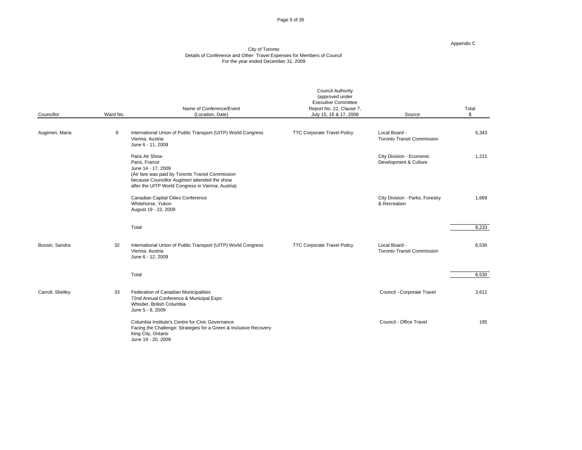Page 5 of 35

Appendix C

| Councillor       | Ward No. | Name of Conference/Event<br>(Location, Date)                                                                                                                                                                    | <b>Council Authority</b><br>(approved under<br><b>Executive Committee</b><br>Report No. 22, Clause 7,<br>July 15, 16 & 17, 2008 | Source                                             | Total |
|------------------|----------|-----------------------------------------------------------------------------------------------------------------------------------------------------------------------------------------------------------------|---------------------------------------------------------------------------------------------------------------------------------|----------------------------------------------------|-------|
| Augimeri, Maria  |          | International Union of Public Transport (UITP) World Congress<br>Vienna, Austria<br>June 6 - 11, 2009                                                                                                           | <b>TTC Corporate Travel Policy</b>                                                                                              | Local Board -<br><b>Toronto Transit Commission</b> | 5,343 |
|                  |          | Paris Air Show<br>Paris, France<br>June 14 - 17, 2009<br>(Air fare was paid by Toronto Transit Commission<br>because Councillor Augimeri attended the show<br>after the UITP World Congress in Vienna, Austria) |                                                                                                                                 | City Division - Economic<br>Development & Culture  | 1,221 |
|                  |          | Canadian Capital Cities Conference<br>Whitehorse, Yukon<br>August 19 - 23, 2009                                                                                                                                 |                                                                                                                                 | City Division - Parks, Forestry<br>& Recreation    | 1,669 |
|                  |          | Total                                                                                                                                                                                                           |                                                                                                                                 |                                                    | 8,233 |
| Bussin, Sandra   | 32       | International Union of Public Transport (UITP) World Congress<br>Vienna, Austria<br>June 6 - 12, 2009                                                                                                           | <b>TTC Corporate Travel Policy</b>                                                                                              | Local Board -<br><b>Toronto Transit Commission</b> | 6,530 |
|                  |          | Total                                                                                                                                                                                                           |                                                                                                                                 |                                                    | 6,530 |
| Carroll, Shelley | 33       | Federation of Canadian Municipalities<br>72nd Annual Conference & Municipal Expo<br>Whistler, British Columbia<br>June 5 - 8, 2009                                                                              |                                                                                                                                 | Council - Corporate Travel                         | 3,612 |
|                  |          | Columbia Institute's Centre for Civic Governance<br>Facing the Challenge: Strategies for a Green & Inclusive Recovery<br>King City, Ontario<br>June 19 - 20, 2009                                               |                                                                                                                                 | Council - Office Travel                            | 195   |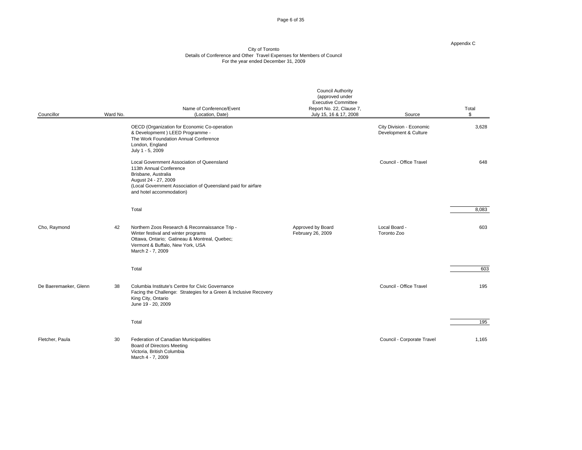Page 6 of 35

#### Appendix C

|                       |          | Name of Conference/Event                                                                                                                                                                                         | <b>Council Authority</b><br>(approved under<br><b>Executive Committee</b><br>Report No. 22, Clause 7, |                                                   | Total                           |
|-----------------------|----------|------------------------------------------------------------------------------------------------------------------------------------------------------------------------------------------------------------------|-------------------------------------------------------------------------------------------------------|---------------------------------------------------|---------------------------------|
| Councillor            | Ward No. | (Location, Date)                                                                                                                                                                                                 | July 15, 16 & 17, 2008                                                                                | Source                                            |                                 |
|                       |          | OECD (Organization for Economic Co-operation<br>& Developmemt ) LEED Programme -<br>The Work Foundation Annual Conference<br>London, England<br>July 1 - 5, 2009                                                 |                                                                                                       | City Division - Economic<br>Development & Culture | 3,628                           |
|                       |          | Local Government Association of Queensland<br>113th Annual Conference<br>Brisbane, Australia<br>August 24 - 27, 2009<br>(Local Government Association of Queensland paid for airfare<br>and hotel accommodation) |                                                                                                       | Council - Office Travel                           | 648                             |
|                       |          | Total                                                                                                                                                                                                            |                                                                                                       |                                                   | 8,083                           |
| Cho, Raymond          |          | 42 Northern Zoos Research & Reconnaissance Trip -<br>Winter festival and winter programs<br>Ottawa, Ontario; Gatineau & Montreal, Quebec;<br>Vermont & Buffalo, New York, USA<br>March 2 - 7, 2009               | Approved by Board<br>February 26, 2009                                                                | Local Board -<br>Toronto Zoo                      | 603                             |
|                       |          | Total                                                                                                                                                                                                            |                                                                                                       |                                                   |                                 |
| De Baeremaeker, Glenn | 38       | Columbia Institute's Centre for Civic Governance<br>Facing the Challenge: Strategies for a Green & Inclusive Recovery<br>King City, Ontario<br>June 19 - 20, 2009                                                |                                                                                                       | Council - Office Travel                           | 195                             |
|                       |          | Total                                                                                                                                                                                                            |                                                                                                       |                                                   | $\overline{\qquad \qquad }$ 195 |
| Fletcher, Paula       | 30       | Federation of Canadian Municipalities<br><b>Board of Directors Meeting</b><br>Victoria, British Columbia<br>March 4 - 7, 2009                                                                                    |                                                                                                       | Council - Corporate Travel                        | 1,165                           |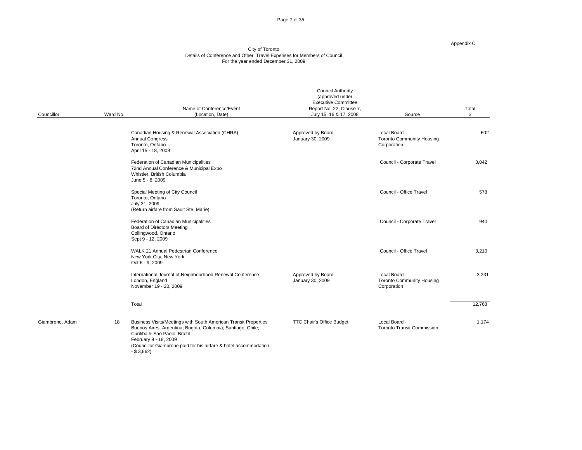Page 7 of 35

#### Appendix C

|                 |                                            |                                                                                                                                                                                                                                                                | <b>Council Authority</b><br>(approved under<br><b>Executive Committee</b> |                                                                  |        |
|-----------------|--------------------------------------------|----------------------------------------------------------------------------------------------------------------------------------------------------------------------------------------------------------------------------------------------------------------|---------------------------------------------------------------------------|------------------------------------------------------------------|--------|
| Councillor      | Ward No.                                   | Name of Conference/Event<br>(Location, Date)                                                                                                                                                                                                                   | Report No. 22, Clause 7,<br>July 15, 16 & 17, 2008                        | Source                                                           | Total  |
|                 | <b>Annual Congress</b><br>Toronto, Ontario | Canadian Housing & Renewal Association (CHRA)<br>April 15 - 18, 2009                                                                                                                                                                                           | Approved by Board<br>January 30, 2009                                     | Local Board -<br><b>Toronto Community Housing</b><br>Corporation | 602    |
|                 | June 5 - 8, 2009                           | Federation of Canadian Municipalities<br>72nd Annual Conference & Municipal Expo<br>Whistler, British Columbia                                                                                                                                                 |                                                                           | Council - Corporate Travel                                       | 3,042  |
|                 | Toronto, Ontario<br>July 31, 2009          | Special Meeting of City Council<br>(Return airfare from Sault Ste. Marie)                                                                                                                                                                                      |                                                                           | Council - Office Travel                                          | 578    |
|                 |                                            | Federation of Canadian Municipalities<br><b>Board of Directors Meeting</b><br>Collingwood, Ontario<br>Sept 9 - 12, 2009                                                                                                                                        |                                                                           | Council - Corporate Travel                                       | 940    |
|                 | Oct 6 - 9, 2009                            | WALK 21 Annual Pedestrian Conference<br>New York City, New York                                                                                                                                                                                                |                                                                           | Council - Office Travel                                          | 3,210  |
|                 | London, England                            | International Journal of Neighbourhood Renewal Conference<br>November 19 - 20, 2009                                                                                                                                                                            | Approved by Board<br>January 30, 2009                                     | Local Board -<br>Toronto Community Housing<br>Corporation        | 3,231  |
|                 | Total                                      |                                                                                                                                                                                                                                                                |                                                                           |                                                                  | 12,768 |
| Giambrone, Adam | $-$ \$ 3,662)                              | 18 Business Visits/Meetings with South American Transit Properties<br>Buenos Aires, Argentina; Bogota, Columbia; Santiago, Chile;<br>Curitiba & Sao Paolo, Brazil<br>February 9 - 18, 2009<br>(Councillor Giambrone paid for his airfare & hotel accommodation | TTC Chair's Office Budget                                                 | Local Board -<br><b>Toronto Transit Commission</b>               | 1,174  |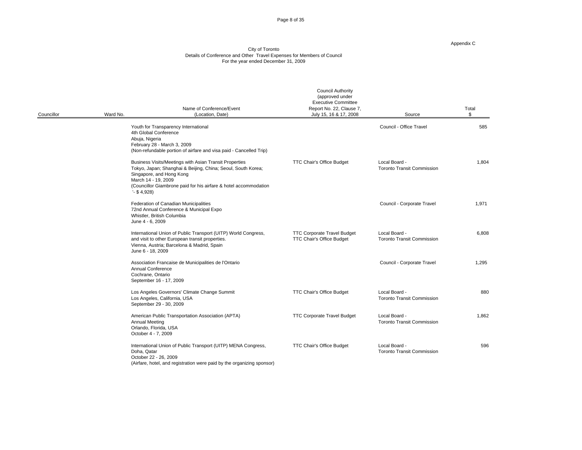Page 8 of 35

#### Appendix C

#### City of Toronto Details of Conference and Other Travel Expenses for Members of Council For the year ended December 31, 2009

| Councillor | Ward No.                               | Name of Conference/Event<br>(Location, Date)                                                                                                                                                                                                  | <b>Council Authority</b><br>(approved under<br>Executive Committee<br>Report No. 22, Clause 7,<br>July 15, 16 & 17, 2008 | Source                                             | Total |
|------------|----------------------------------------|-----------------------------------------------------------------------------------------------------------------------------------------------------------------------------------------------------------------------------------------------|--------------------------------------------------------------------------------------------------------------------------|----------------------------------------------------|-------|
|            | Abuja, Nigeria                         | Youth for Transparency International<br>4th Global Conference<br>February 28 - March 3, 2009<br>(Non-refundable portion of airfare and visa paid - Cancelled Trip)                                                                            |                                                                                                                          | Council - Office Travel                            | 585   |
|            | $-$ \$ 4,928)                          | Business Visits/Meetings with Asian Transit Properties<br>Tokyo, Japan; Shanghai & Beijing, China; Seoul, South Korea;<br>Singapore, and Hong Kong<br>March 14 - 19, 2009<br>(Councillor Giambrone paid for his airfare & hotel accommodation | <b>TTC Chair's Office Budget</b>                                                                                         | Local Board -<br><b>Toronto Transit Commission</b> | 1,804 |
|            | June 4 - 6, 2009                       | Federation of Canadian Municipalities<br>72nd Annual Conference & Municipal Expo<br>Whistler, British Columbia                                                                                                                                |                                                                                                                          | Council - Corporate Travel                         | 1,971 |
|            | June 6 - 18, 2009                      | International Union of Public Transport (UITP) World Congress,<br>and visit to other European transit properties.<br>Vienna, Austria; Barcelona & Madrid, Spain                                                                               | <b>TTC Corporate Travel Budget</b><br><b>TTC Chair's Office Budget</b>                                                   | Local Board -<br><b>Toronto Transit Commission</b> | 6,808 |
|            | Annual Conference<br>Cochrane, Ontario | Association Francaise de Municipalities de l'Ontario<br>September 16 - 17, 2009                                                                                                                                                               |                                                                                                                          | Council - Corporate Travel                         | 1,295 |
|            |                                        | Los Angeles Governors' Climate Change Summit<br>Los Angeles, California, USA<br>September 29 - 30, 2009                                                                                                                                       | <b>TTC Chair's Office Budget</b>                                                                                         | Local Board -<br><b>Toronto Transit Commission</b> | 880   |
|            | <b>Annual Meeting</b>                  | American Public Transportation Association (APTA)<br>Orlando, Florida, USA<br>October 4 - 7, 2009                                                                                                                                             | <b>TTC Corporate Travel Budget</b>                                                                                       | Local Board -<br><b>Toronto Transit Commission</b> | 1,862 |
|            | Doha, Qatar                            | International Union of Public Transport (UITP) MENA Congress,<br>October 22 - 26, 2009                                                                                                                                                        | <b>TTC Chair's Office Budget</b>                                                                                         | Local Board -<br><b>Toronto Transit Commission</b> | 596   |

(Airfare, hotel, and registration were paid by the organizing sponsor)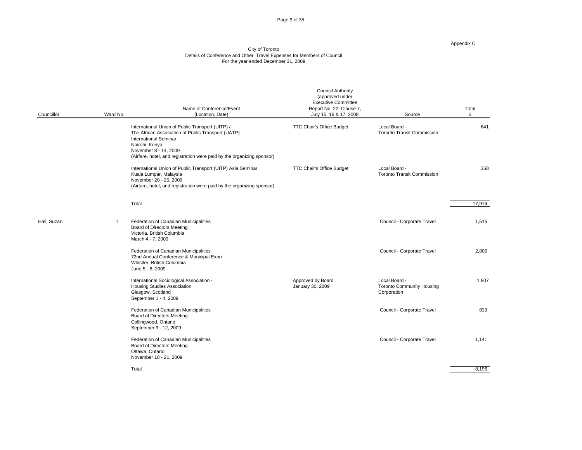Page 9 of 35

#### Appendix C

|             |          | Name of Conference/Event                                                                                                                                                                                                                                    | <b>Council Authority</b><br>(approved under<br>Executive Committee<br>Report No. 22, Clause 7, |                                                                  | Total  |
|-------------|----------|-------------------------------------------------------------------------------------------------------------------------------------------------------------------------------------------------------------------------------------------------------------|------------------------------------------------------------------------------------------------|------------------------------------------------------------------|--------|
| Councillor  | Ward No. | (Location, Date)                                                                                                                                                                                                                                            | July 15, 16 & 17, 2008                                                                         | Source                                                           |        |
|             |          | International Union of Public Transport (UITP) /<br>The African Association of Public Transport (UATP)<br><b>International Seminar</b><br>Nairobi, Kenya<br>November 8 - 14, 2009<br>(Airfare, hotel, and registration were paid by the organizing sponsor) | TTC Chair's Office Budget                                                                      | Local Board -<br><b>Toronto Transit Commission</b>               | 641    |
|             |          | International Union of Public Transport (UITP) Asia Seminar<br>Kuala Lumpar, Malaysia<br>November 20 - 25, 2009<br>(Airfare, hotel, and registration were paid by the organizing sponsor)                                                                   | TTC Chair's Office Budget                                                                      | Local Board -<br><b>Toronto Transit Commission</b>               | 358    |
|             |          | Total                                                                                                                                                                                                                                                       |                                                                                                |                                                                  | 17,974 |
| Hall, Suzan |          | Federation of Canadian Municipalities<br><b>Board of Directors Meeting</b><br>Victoria, British Columbia<br>March 4 - 7, 2009                                                                                                                               |                                                                                                | Council - Corporate Travel                                       | 1,515  |
|             |          | Federation of Canadian Municipalities<br>72nd Annual Conference & Municipal Expo<br>Whistler, British Columbia<br>June 5 - 8, 2009                                                                                                                          |                                                                                                | Council - Corporate Travel                                       | 2,800  |
|             |          | International Sociological Association -<br><b>Housing Studies Association</b><br>Glasgow, Scotland<br>September 1 - 4, 2009                                                                                                                                | Approved by Board<br>January 30, 2009                                                          | Local Board -<br><b>Toronto Community Housing</b><br>Corporation | 1,907  |
|             |          | Federation of Canadian Municipalities<br><b>Board of Directors Meeting</b><br>Collingwood, Ontario<br>September 9 - 12, 2009                                                                                                                                |                                                                                                | Council - Corporate Travel                                       | 833    |
|             |          | Federation of Canadian Municipalities<br><b>Board of Directors Meeting</b><br>Ottawa, Ontario<br>November 18 - 21, 2009                                                                                                                                     |                                                                                                | Council - Corporate Travel                                       | 1,141  |
|             |          | Total                                                                                                                                                                                                                                                       |                                                                                                |                                                                  | 8,196  |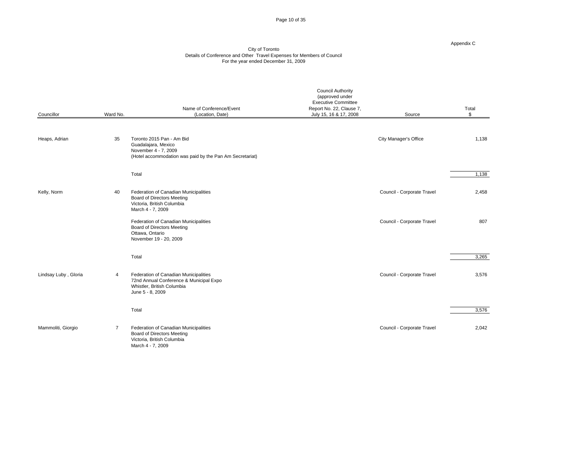Page 10 of 35

#### Appendix C

| Councillor           | Ward No. | Name of Conference/Event<br>(Location, Date)                                                                                         | <b>Council Authority</b><br>(approved under<br>Executive Committee<br>Report No. 22, Clause 7,<br>July 15, 16 & 17, 2008 | Source                     | Total |
|----------------------|----------|--------------------------------------------------------------------------------------------------------------------------------------|--------------------------------------------------------------------------------------------------------------------------|----------------------------|-------|
| Heaps, Adrian        | 35       | Toronto 2015 Pan - Am Bid<br>Guadalajara, Mexico<br>November 4 - 7, 2009<br>(Hotel accommodation was paid by the Pan Am Secretariat) |                                                                                                                          | City Manager's Office      | 1,138 |
|                      |          | Total                                                                                                                                |                                                                                                                          |                            | 1,138 |
| Kelly, Norm          |          | 40 Federation of Canadian Municipalities<br><b>Board of Directors Meeting</b><br>Victoria, British Columbia<br>March 4 - 7, 2009     |                                                                                                                          | Council - Corporate Travel | 2,458 |
|                      |          | Federation of Canadian Municipalities<br><b>Board of Directors Meeting</b><br>Ottawa, Ontario<br>November 19 - 20, 2009              |                                                                                                                          | Council - Corporate Travel | 807   |
|                      |          | Total                                                                                                                                |                                                                                                                          |                            | 3,265 |
| Lindsay Luby, Gloria |          | Federation of Canadian Municipalities<br>72nd Annual Conference & Municipal Expo<br>Whistler, British Columbia<br>June 5 - 8, 2009   |                                                                                                                          | Council - Corporate Travel | 3,576 |
|                      |          | Total                                                                                                                                |                                                                                                                          |                            | 3,576 |
| Mammoliti, Giorgio   |          | Federation of Canadian Municipalities<br><b>Board of Directors Meeting</b><br>Victoria, British Columbia<br>March 4 - 7, 2009        |                                                                                                                          | Council - Corporate Travel | 2,042 |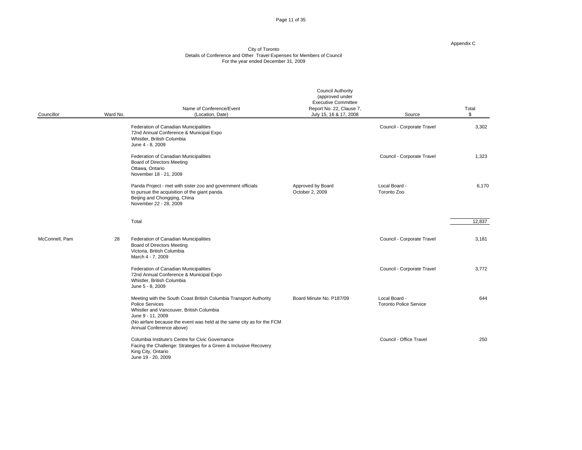Page 11 of 35

#### Appendix C

| Councillor     | Ward No. | Name of Conference/Event<br>(Location, Date)                                                                                                                                                                                                                | <b>Council Authority</b><br>(approved under<br><b>Executive Committee</b><br>Report No. 22, Clause 7,<br>July 15, 16 & 17, 2008 | Source                                         | Total                                   |
|----------------|----------|-------------------------------------------------------------------------------------------------------------------------------------------------------------------------------------------------------------------------------------------------------------|---------------------------------------------------------------------------------------------------------------------------------|------------------------------------------------|-----------------------------------------|
|                |          | Federation of Canadian Municipalities<br>72nd Annual Conference & Municipal Expo<br>Whistler, British Columbia<br>June 4 - 8, 2009                                                                                                                          |                                                                                                                                 | Council - Corporate Travel                     | 3,302                                   |
|                |          | Federation of Canadian Municipalities<br><b>Board of Directors Meeting</b><br>Ottawa, Ontario<br>November 18 - 21, 2009                                                                                                                                     |                                                                                                                                 | Council - Corporate Travel                     | 1,323                                   |
|                |          | Panda Project - met with sister zoo and government officials<br>to pursue the acquisition of the giant panda.<br>Beijing and Chongqing, China<br>November 22 - 28, 2009                                                                                     | Approved by Board<br>October 2, 2009                                                                                            | Local Board -<br>Toronto Zoo                   | 6,170                                   |
|                |          | Total                                                                                                                                                                                                                                                       |                                                                                                                                 |                                                | $\overline{12,837}$<br>$\sim$ 100 $\mu$ |
| McConnell, Pam | 28       | Federation of Canadian Municipalities<br><b>Board of Directors Meeting</b><br>Victoria, British Columbia<br>March 4 - 7, 2009                                                                                                                               |                                                                                                                                 | Council - Corporate Travel                     | 3,181                                   |
|                |          | Federation of Canadian Municipalities<br>72nd Annual Conference & Municipal Expo<br>Whistler, British Columbia<br>June 5 - 8, 2009                                                                                                                          |                                                                                                                                 | Council - Corporate Travel                     | 3,772                                   |
|                |          | Meeting with the South Coast British Columbia Transport Authority<br>Police Services<br>Whistler and Vancouver, British Columbia<br>June 9 - 11, 2009<br>(No airfare because the event was held at the same city as for the FCM<br>Annual Conference above) | Board Minute No. P187/09                                                                                                        | Local Board -<br><b>Toronto Police Service</b> | 644                                     |
|                |          | Columbia Institute's Centre for Civic Governance<br>Facing the Challenge: Strategies for a Green & Inclusive Recovery<br>King City, Ontario<br>June 19 - 20, 2009                                                                                           |                                                                                                                                 | Council - Office Travel                        | 250                                     |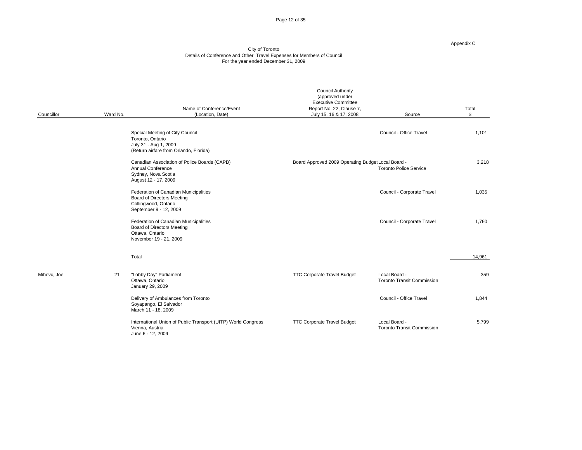Page 12 of 35

#### Appendix C

|             |          | Name of Conference/Event                                                                                                     | <b>Council Authority</b><br>(approved under<br><b>Executive Committee</b><br>Report No. 22, Clause 7, |                                                    | Total  |
|-------------|----------|------------------------------------------------------------------------------------------------------------------------------|-------------------------------------------------------------------------------------------------------|----------------------------------------------------|--------|
| Councillor  | Ward No. | (Location, Date)                                                                                                             | July 15, 16 & 17, 2008                                                                                | Source                                             |        |
|             |          | Special Meeting of City Council<br>Toronto, Ontario<br>July 31 - Aug 1, 2009<br>(Return airfare from Orlando, Florida)       |                                                                                                       | Council - Office Travel                            | 1,101  |
|             |          | Canadian Association of Police Boards (CAPB)<br><b>Annual Conference</b><br>Sydney, Nova Scotia<br>August 12 - 17, 2009      | Board Approved 2009 Operating Budget Local Board -                                                    | <b>Toronto Police Service</b>                      | 3,218  |
|             |          | Federation of Canadian Municipalities<br><b>Board of Directors Meeting</b><br>Collingwood, Ontario<br>September 9 - 12, 2009 |                                                                                                       | Council - Corporate Travel                         | 1,035  |
|             |          | Federation of Canadian Municipalities<br><b>Board of Directors Meeting</b><br>Ottawa, Ontario<br>November 19 - 21, 2009      |                                                                                                       | Council - Corporate Travel                         | 1,760  |
|             |          | Total                                                                                                                        |                                                                                                       |                                                    | 14,961 |
| Mihevc, Joe | 21       | "Lobby Day" Parliament<br>Ottawa, Ontario<br>January 29, 2009                                                                | <b>TTC Corporate Travel Budget</b>                                                                    | Local Board -<br><b>Toronto Transit Commission</b> | 359    |
|             |          | Delivery of Ambulances from Toronto<br>Soyapango, El Salvador<br>March 11 - 18, 2009                                         |                                                                                                       | Council - Office Travel                            | 1,844  |
|             |          | International Union of Public Transport (UITP) World Congress,<br>Vienna, Austria<br>June 6 - 12, 2009                       | <b>TTC Corporate Travel Budget</b>                                                                    | Local Board -<br><b>Toronto Transit Commission</b> | 5,799  |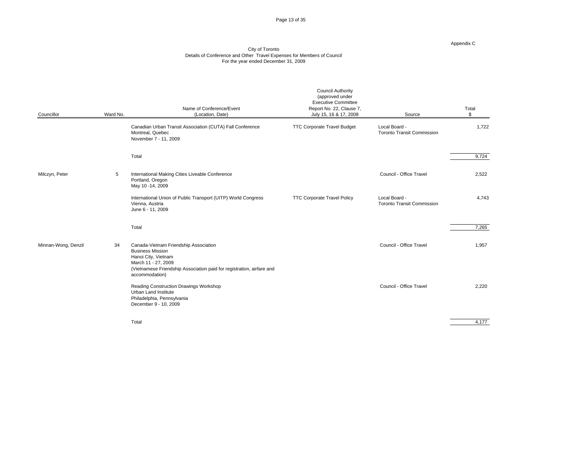Page 13 of 35

#### Appendix C

| Councillor          | Ward No. | Name of Conference/Event<br>(Location, Date)                                                                                                                                                                 | <b>Council Authority</b><br>(approved under<br><b>Executive Committee</b><br>Report No. 22, Clause 7,<br>July 15, 16 & 17, 2008 | Source                                             | Total                                                    |
|---------------------|----------|--------------------------------------------------------------------------------------------------------------------------------------------------------------------------------------------------------------|---------------------------------------------------------------------------------------------------------------------------------|----------------------------------------------------|----------------------------------------------------------|
|                     |          | Canadian Urban Transit Association (CUTA) Fall Conference<br>Montreal, Quebec<br>November 7 - 11, 2009                                                                                                       | <b>TTC Corporate Travel Budget</b>                                                                                              | Local Board -<br><b>Toronto Transit Commission</b> | 1,722                                                    |
|                     |          | Total                                                                                                                                                                                                        |                                                                                                                                 |                                                    | 9,724                                                    |
| Milczyn, Peter      |          | International Making Cities Liveable Conference<br>Portland, Oregon<br>May 10 -14, 2009                                                                                                                      |                                                                                                                                 | Council - Office Travel                            | 2,522                                                    |
|                     |          | International Union of Public Transport (UITP) World Congress<br>Vienna, Austria<br>June 6 - 11, 2009                                                                                                        | <b>TTC Corporate Travel Policy</b>                                                                                              | Local Board -<br><b>Toronto Transit Commission</b> | 4,743                                                    |
|                     |          | Total                                                                                                                                                                                                        |                                                                                                                                 |                                                    | 7,265                                                    |
| Minnan-Wong, Denzil |          | 34 Canada-Vietnam Friendship Association<br><b>Business Mission</b><br>Hanoi City, Vietnam<br>March 11 - 27, 2009<br>(Vietnamese Friendship Association paid for registration, airfare and<br>accommodation) |                                                                                                                                 | Council - Office Travel                            | 1,957                                                    |
|                     |          | Reading Construction Drawings Workshop<br>Urban Land Institute<br>Philadelphia, Pennsylvania<br>December 9 - 10, 2009                                                                                        |                                                                                                                                 | Council - Office Travel                            | 2,220                                                    |
|                     |          | Total                                                                                                                                                                                                        |                                                                                                                                 |                                                    | $\frac{4,177}{ }$<br>and the contract of the contract of |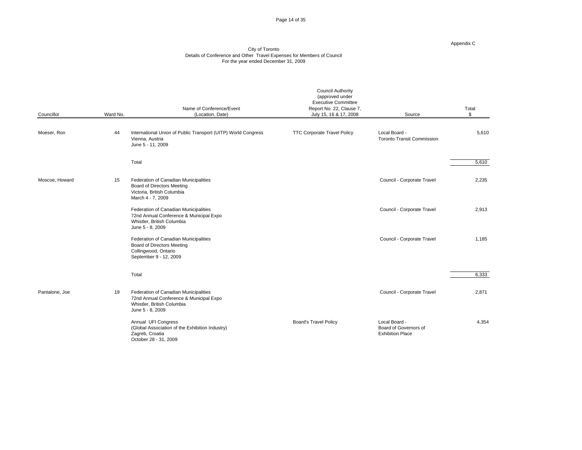Page 14 of 35

#### Appendix C

| Councillor     | Ward No. | Name of Conference/Event<br>(Location, Date)                                                                                       | <b>Council Authority</b><br>(approved under<br><b>Executive Committee</b><br>Report No. 22, Clause 7,<br>July 15, 16 & 17, 2008 | Source                                                            | Total |
|----------------|----------|------------------------------------------------------------------------------------------------------------------------------------|---------------------------------------------------------------------------------------------------------------------------------|-------------------------------------------------------------------|-------|
| Moeser, Ron    |          | 44 International Union of Public Transport (UITP) World Congress<br>Vienna, Austria<br>June 5 - 11, 2009                           | <b>TTC Corporate Travel Policy</b>                                                                                              | Local Board -<br><b>Toronto Transit Commission</b>                | 5,610 |
|                |          | Total                                                                                                                              |                                                                                                                                 |                                                                   | 5,610 |
| Moscoe, Howard | 15       | Federation of Canadian Municipalities<br><b>Board of Directors Meeting</b><br>Victoria, British Columbia<br>March 4 - 7, 2009      |                                                                                                                                 | Council - Corporate Travel                                        | 2,235 |
|                |          | Federation of Canadian Municipalities<br>72nd Annual Conference & Municipal Expo<br>Whistler, British Columbia<br>June 5 - 8, 2009 |                                                                                                                                 | Council - Corporate Travel                                        | 2,913 |
|                |          | Federation of Canadian Municipalities<br><b>Board of Directors Meeting</b><br>Collingwood, Ontario<br>September 9 - 12, 2009       |                                                                                                                                 | Council - Corporate Travel                                        | 1,185 |
|                |          | Total                                                                                                                              |                                                                                                                                 |                                                                   | 6,333 |
| Pantalone, Joe | 19       | Federation of Canadian Municipalities<br>72nd Annual Conference & Municipal Expo<br>Whistler, British Columbia<br>June 5 - 8, 2009 |                                                                                                                                 | Council - Corporate Travel                                        | 2,871 |
|                |          | Annual UFI Congress<br>(Global Association of the Exhibition Industry)<br>Zagreb, Croatia<br>October 28 - 31, 2009                 | <b>Board's Travel Policy</b>                                                                                                    | Local Board -<br>Board of Governors of<br><b>Exhibition Place</b> | 4,354 |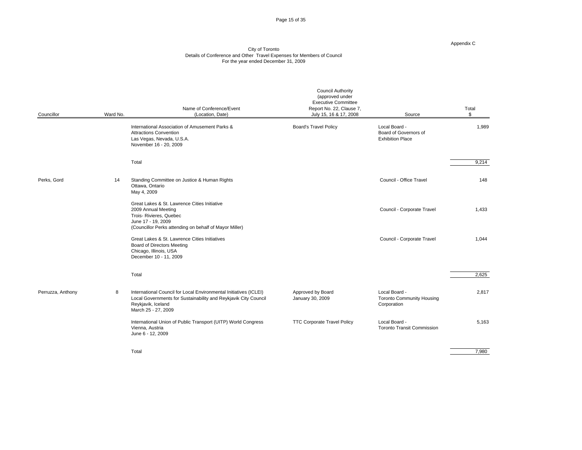Page 15 of 35

#### Appendix C

| Councillor        | Ward No. | Name of Conference/Event<br>(Location, Date)                                                                                                                                      | <b>Council Authority</b><br>(approved under<br>Executive Committee<br>Report No. 22, Clause 7,<br>July 15, 16 & 17, 2008 | Source                                                            | Total                                     |
|-------------------|----------|-----------------------------------------------------------------------------------------------------------------------------------------------------------------------------------|--------------------------------------------------------------------------------------------------------------------------|-------------------------------------------------------------------|-------------------------------------------|
|                   |          | International Association of Amusement Parks &<br><b>Attractions Convention</b><br>Las Vegas, Nevada, U.S.A.<br>November 16 - 20, 2009                                            | <b>Board's Travel Policy</b>                                                                                             | Local Board -<br>Board of Governors of<br><b>Exhibition Place</b> | 1,989                                     |
|                   |          | Total                                                                                                                                                                             |                                                                                                                          |                                                                   | 9,214                                     |
| Perks, Gord       |          | 14 Standing Committee on Justice & Human Rights<br>Ottawa, Ontario<br>May 4, 2009                                                                                                 |                                                                                                                          | Council - Office Travel                                           | 148                                       |
|                   |          | Great Lakes & St. Lawrence Cities Initiative<br>2009 Annual Meeting<br>Trois- Rivieres, Quebec<br>June 17 - 19, 2009<br>(Councillor Perks attending on behalf of Mayor Miller)    |                                                                                                                          | Council - Corporate Travel                                        | 1,433                                     |
|                   |          | Great Lakes & St. Lawrence Cities Initiatives<br><b>Board of Directors Meeting</b><br>Chicago, Illinois, USA<br>December 10 - 11, 2009                                            |                                                                                                                          | Council - Corporate Travel                                        | 1,044                                     |
|                   |          | Total                                                                                                                                                                             |                                                                                                                          |                                                                   | 2,625                                     |
| Perruzza, Anthony |          | International Council for Local Environmental Initiatives (ICLEI)<br>Local Governments for Sustainability and Reykjavik City Council<br>Reykjavik, Iceland<br>March 25 - 27, 2009 | Approved by Board<br>January 30, 2009                                                                                    | Local Board -<br>Toronto Community Housing<br>Corporation         | 2,817                                     |
|                   |          | International Union of Public Transport (UITP) World Congress<br>Vienna, Austria<br>June 6 - 12, 2009                                                                             | <b>TTC Corporate Travel Policy</b>                                                                                       | Local Board -<br><b>Toronto Transit Commission</b>                | 5,163                                     |
|                   |          | Total                                                                                                                                                                             |                                                                                                                          |                                                                   | $\begin{array}{c c}\n\hline\n\end{array}$ |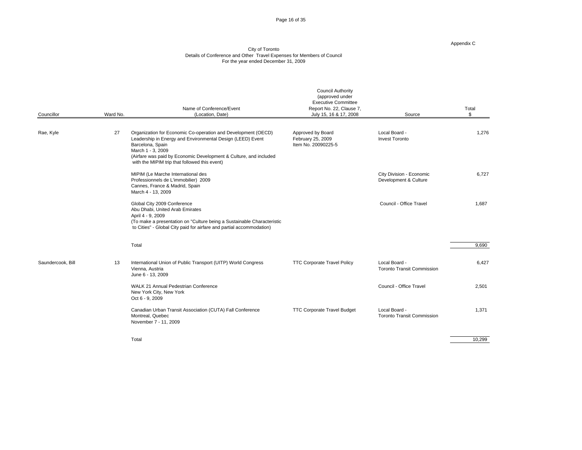Page 16 of 35

#### Appendix C

|                   |                 | Name of Conference/Event                                                                                                                                                                                                                                                                   | <b>Council Authority</b><br>(approved under<br><b>Executive Committee</b><br>Report No. 22, Clause 7, |                                                    | Total                                       |
|-------------------|-----------------|--------------------------------------------------------------------------------------------------------------------------------------------------------------------------------------------------------------------------------------------------------------------------------------------|-------------------------------------------------------------------------------------------------------|----------------------------------------------------|---------------------------------------------|
| Councillor        | Ward No.        | (Location, Date)                                                                                                                                                                                                                                                                           | July 15, 16 & 17, 2008                                                                                | Source                                             |                                             |
| Rae, Kyle         | 27              | Organization for Economic Co-operation and Development (OECD)<br>Leadership in Energy and Environmental Design (LEED) Event<br>Barcelona, Spain<br>March 1 - 3, 2009<br>(Airfare was paid by Economic Development & Culture, and included<br>with the MIPIM trip that followed this event) | Approved by Board<br>February 25, 2009<br>Item No. 20090225-5                                         | Local Board -<br>Invest Toronto                    | 1,276                                       |
|                   |                 | MIPIM (Le Marche International des<br>Professionnels de L'immobilier) 2009<br>Cannes, France & Madrid, Spain<br>March 4 - 13, 2009                                                                                                                                                         |                                                                                                       | City Division - Economic<br>Development & Culture  | 6,727                                       |
|                   |                 | Global City 2009 Conference<br>Abu Dhabi, United Arab Emirates<br>April 4 - 9, 2009<br>(To make a presentation on "Culture being a Sustainable Characteristic<br>to Cities" - Global City paid for airfare and partial accommodation)                                                      |                                                                                                       | Council - Office Travel                            | 1,687                                       |
|                   | Total           |                                                                                                                                                                                                                                                                                            |                                                                                                       |                                                    | 9,690                                       |
| Saundercook, Bill |                 | 13 International Union of Public Transport (UITP) World Congress<br>Vienna, Austria<br>June 6 - 13, 2009                                                                                                                                                                                   | <b>TTC Corporate Travel Policy</b>                                                                    | Local Board -<br><b>Toronto Transit Commission</b> | 6,427                                       |
|                   | Oct 6 - 9, 2009 | WALK 21 Annual Pedestrian Conference<br>New York City, New York                                                                                                                                                                                                                            |                                                                                                       | Council - Office Travel                            | 2,501                                       |
|                   |                 | Canadian Urban Transit Association (CUTA) Fall Conference<br>Montreal, Quebec<br>November 7 - 11, 2009                                                                                                                                                                                     | <b>TTC Corporate Travel Budget</b>                                                                    | Local Board -<br><b>Toronto Transit Commission</b> | 1,371                                       |
|                   | Total           |                                                                                                                                                                                                                                                                                            |                                                                                                       |                                                    | $\frac{10,299}{\frac{10,299}{\frac{1}{2}}}$ |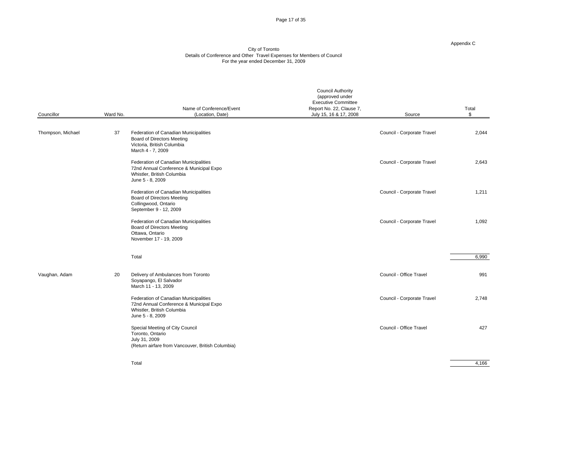Page 17 of 35

#### Appendix C

|                   |          | Name of Conference/Event                                                                                                           | <b>Council Authority</b><br>(approved under<br><b>Executive Committee</b><br>Report No. 22, Clause 7, |                            | Total |
|-------------------|----------|------------------------------------------------------------------------------------------------------------------------------------|-------------------------------------------------------------------------------------------------------|----------------------------|-------|
| Councillor        | Ward No. | (Location, Date)                                                                                                                   | July 15, 16 & 17, 2008                                                                                | Source                     |       |
| Thompson, Michael | 37       | Federation of Canadian Municipalities<br><b>Board of Directors Meeting</b><br>Victoria, British Columbia<br>March 4 - 7, 2009      |                                                                                                       | Council - Corporate Travel | 2,044 |
|                   |          | Federation of Canadian Municipalities<br>72nd Annual Conference & Municipal Expo<br>Whistler, British Columbia<br>June 5 - 8, 2009 |                                                                                                       | Council - Corporate Travel | 2,643 |
|                   |          | Federation of Canadian Municipalities<br><b>Board of Directors Meeting</b><br>Collingwood, Ontario<br>September 9 - 12, 2009       |                                                                                                       | Council - Corporate Travel | 1,211 |
|                   |          | Federation of Canadian Municipalities<br><b>Board of Directors Meeting</b><br>Ottawa, Ontario<br>November 17 - 19, 2009            |                                                                                                       | Council - Corporate Travel | 1,092 |
|                   | Total    |                                                                                                                                    |                                                                                                       |                            | 6,990 |
| Vaughan, Adam     | 20       | Delivery of Ambulances from Toronto<br>Soyapango, El Salvador<br>March 11 - 13, 2009                                               |                                                                                                       | Council - Office Travel    | 991   |
|                   |          | Federation of Canadian Municipalities<br>72nd Annual Conference & Municipal Expo<br>Whistler, British Columbia<br>June 5 - 8, 2009 |                                                                                                       | Council - Corporate Travel | 2,748 |
|                   |          | Special Meeting of City Council<br>Toronto, Ontario<br>July 31, 2009<br>(Return airfare from Vancouver, British Columbia)          |                                                                                                       | Council - Office Travel    | 427   |
|                   | Total    |                                                                                                                                    |                                                                                                       |                            | 4,166 |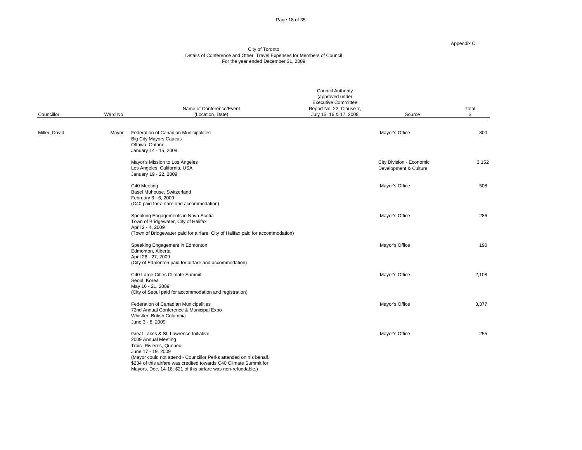Page 18 of 35

#### Appendix C

|               |                   | Name of Conference/Event                                                                                                                                                                                                                                                                                                  | <b>Council Authority</b><br>(approved under<br><b>Executive Committee</b><br>Report No. 22, Clause 7, |                                                   | Total |
|---------------|-------------------|---------------------------------------------------------------------------------------------------------------------------------------------------------------------------------------------------------------------------------------------------------------------------------------------------------------------------|-------------------------------------------------------------------------------------------------------|---------------------------------------------------|-------|
| Councillor    | Ward No.          | (Location, Date)                                                                                                                                                                                                                                                                                                          | July 15, 16 & 17, 2008                                                                                | Source                                            |       |
| Miller, David | Ottawa, Ontario   | Mayor Federation of Canadian Municipalities<br><b>Big City Mayors Caucus</b><br>January 14 - 15, 2009                                                                                                                                                                                                                     |                                                                                                       | Mayor's Office                                    | 800   |
|               |                   | Mayor's Mission to Los Angeles<br>Los Angeles, California, USA<br>January 19 - 22, 2009                                                                                                                                                                                                                                   |                                                                                                       | City Division - Economic<br>Development & Culture | 3,152 |
|               | C40 Meeting       | Basel Muhouse, Switzerland<br>February 3 - 6, 2009<br>(C40 paid for airfare and accommodation)                                                                                                                                                                                                                            |                                                                                                       | Mayor's Office                                    | 508   |
|               | April 2 - 4, 2009 | Speaking Engagements in Nova Scotia<br>Town of Bridgewater, City of Halifax<br>(Town of Bridgewater paid for airfare; City of Halifax paid for accommodation)                                                                                                                                                             |                                                                                                       | Mayor's Office                                    | 286   |
|               |                   | Speaking Engagement in Edmonton<br>Edmonton, Alberta<br>April 26 - 27, 2009<br>(City of Edmonton paid for airfare and accommodation)                                                                                                                                                                                      |                                                                                                       | Mayor's Office                                    | 190   |
|               | Seoul, Korea      | C40 Large Cities Climate Summit<br>May 16 - 21, 2009<br>(City of Seoul paid for accommodation and registration)                                                                                                                                                                                                           |                                                                                                       | Mayor's Office                                    | 2,108 |
|               | June 3 - 8, 2009  | Federation of Canadian Municipalities<br>72nd Annual Conference & Municipal Expo<br>Whistler, British Columbia                                                                                                                                                                                                            |                                                                                                       | Mayor's Office                                    | 3,377 |
|               |                   | Great Lakes & St. Lawrence Initiative<br>2009 Annual Meeting<br>Trois- Rivieres, Quebec<br>June 17 - 19, 2009<br>(Mayor could not attend - Councillor Perks attended on his behalf.<br>\$234 of this airfare was credited towards C40 Climate Summit for<br>Mayors, Dec. 14-18; \$21 of this airfare was non-refundable.) |                                                                                                       | Mayor's Office                                    | 255   |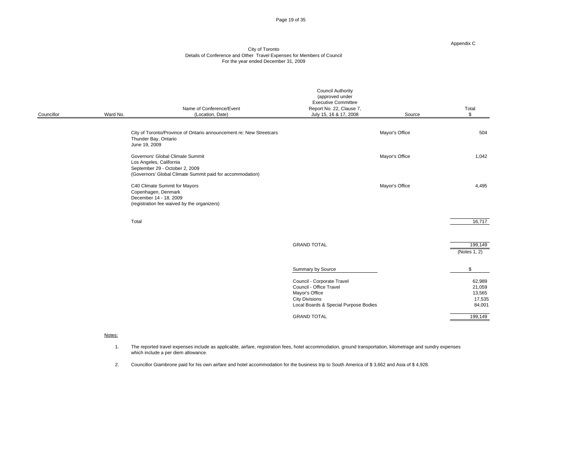Page 19 of 35

#### Appendix C

### City of Toronto Details of Conference and Other Travel Expenses for Members of Council For the year ended December 31, 2009

| Councillor | Ward No. | Name of Conference/Event<br>(Location, Date)                                                                                                               | <b>Council Authority</b><br>(approved under<br>Executive Committee<br>Report No. 22, Clause 7,<br>July 15, 16 & 17, 2008                  | Source         | Total                                          |
|------------|----------|------------------------------------------------------------------------------------------------------------------------------------------------------------|-------------------------------------------------------------------------------------------------------------------------------------------|----------------|------------------------------------------------|
|            |          | City of Toronto/Province of Ontario announcement re: New Streetcars<br>Thunder Bay, Ontario<br>June 19, 2009                                               |                                                                                                                                           | Mayor's Office | 504                                            |
|            |          | Governors' Global Climate Summit<br>Los Angeles, California<br>September 29 - October 2, 2009<br>(Governors' Global Climate Summit paid for accommodation) |                                                                                                                                           | Mayor's Office | 1,042                                          |
|            |          | C40 Climate Summit for Mayors<br>Copenhagen, Denmark<br>December 14 - 18, 2009<br>(registration fee waived by the organizers)                              |                                                                                                                                           | Mayor's Office | 4,495                                          |
|            | Total    |                                                                                                                                                            |                                                                                                                                           |                | 16,717                                         |
|            |          |                                                                                                                                                            | <b>GRAND TOTAL</b>                                                                                                                        |                | $\frac{199,149}{(\text{Notes }1, 2)}$          |
|            |          |                                                                                                                                                            | Summary by Source                                                                                                                         | $\sim$         | $\sim$ \$                                      |
|            |          |                                                                                                                                                            | Council - Corporate Travel<br>Council - Office Travel<br>Mayor's Office<br><b>City Divisions</b><br>Local Boards & Special Purpose Bodies |                | 62,989<br>21,059<br>13,565<br>17,535<br>84,001 |
|            |          |                                                                                                                                                            | <b>GRAND TOTAL</b>                                                                                                                        |                | 199,149                                        |

#### notes:<br>Notes:

1. The reported travel expenses include as applicable, airfare, registration fees, hotel accommodation, ground transportation, kilometrage and sundry expenses which include a per diem allowance.

2. Councillor Giambrone paid for his own airfare and hotel accommodation for the business trip to South America of \$ 3,662 and Asia of \$ 4,928.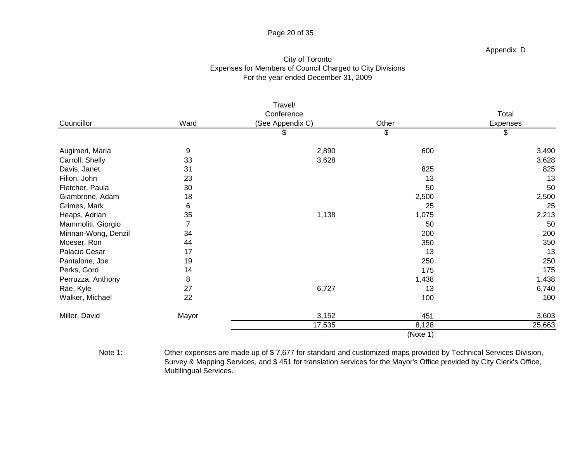# Page 20 of 35

## Appendix D

# City of Toronto Expenses for Members of Council Charged to City Divisions For the year ended December 31, 2009

|                                                    |       | Travel/          |          |                        |
|----------------------------------------------------|-------|------------------|----------|------------------------|
|                                                    |       | Conference       |          | Total                  |
| Councillor                                         | Ward  | (See Appendix C) | Other    | Expenses               |
|                                                    |       |                  |          |                        |
| Augimeri, Maria<br>Carroll, Shelly<br>Davis, Janet |       | 2,890            | 600      | 3,490                  |
|                                                    | 33    | 3,628            |          | 3,628                  |
|                                                    |       |                  | 825      | 825                    |
| Filion, John                                       | 23    |                  | 13       | 13                     |
| Fletcher, Paula                                    | 30    |                  | 50       | 50                     |
| Giambrone, Adam                                    |       |                  | 2,500    | 2,500                  |
| Grimes, Mark                                       |       |                  | 25       | 25                     |
| Heaps, Adrian                                      |       | 1,138            | 1,075    | 2,213                  |
| Mammoliti, Giorgio                                 |       |                  | 50       | 50                     |
| Minnan-Wong, Denzil                                | 34    |                  | 200      | 200                    |
| Moeser, Ron                                        | 44    |                  | 350      | 350                    |
| Palacio Cesar                                      |       |                  | 13       | 13                     |
| Pantalone, Joe                                     |       |                  | 250      | 250                    |
| Perks, Gord                                        |       |                  | 175      | 175                    |
| Perruzza, Anthony                                  |       |                  | 1,438    | 1,438                  |
| Rae, Kyle                                          | 27    | 6,727            | 13       | 6,740                  |
| Walker, Michael                                    | 22    |                  | 100      | 100                    |
| Miller, David                                      | Mayor | 3,152            | 451      | $\frac{3,603}{25,663}$ |
|                                                    |       | 17,535           | 8,128    |                        |
|                                                    |       |                  | (Note 1) |                        |

Note 1: Other expenses are made up of \$ 7,677 for standard and customized maps provided by Technical Services Division, Survey & Mapping Services, and \$ 451 for translation services for the Mayor's Office provided by City Clerk's Office, Multilingual Services.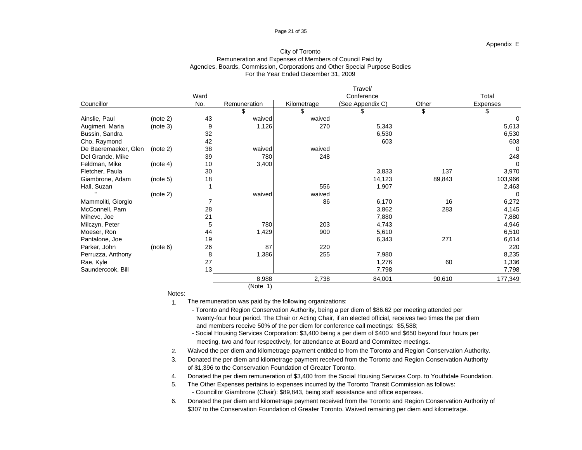### Page 21 of 35

### Appendix E

### City of Toronto Remuneration and Expenses of Members of Council Paid by Agencies, Boards, Commission, Corporations and Other Special Purpose Bodies For the Year Ended December 31, 2009

|                                                                                                                                                                              |          |      |              |               | Travel/                          |        |                                                           |
|------------------------------------------------------------------------------------------------------------------------------------------------------------------------------|----------|------|--------------|---------------|----------------------------------|--------|-----------------------------------------------------------|
|                                                                                                                                                                              |          | Ward |              |               | Conference                       |        | Total                                                     |
| Councillor                                                                                                                                                                   |          | No.  | Remuneration | Kilometrage   | (See Appendix C)                 | Other  | Expenses                                                  |
|                                                                                                                                                                              |          |      |              |               |                                  |        |                                                           |
|                                                                                                                                                                              |          | 43   | waived       |               |                                  |        |                                                           |
| Ainslie, Paul (note 2)<br>Augimeri, Maria (note 3)<br>Bussin, Sandra<br>Cho, Raymond<br>De Baeremaeker, Glen (note 2)                                                        |          |      | 1,126        | waived<br>270 | 5,343                            |        | 5,613<br>6,530                                            |
|                                                                                                                                                                              |          | 32   |              |               | 6,530                            |        |                                                           |
|                                                                                                                                                                              |          |      |              |               | 603                              |        | 603                                                       |
|                                                                                                                                                                              |          |      | waived       | waived        |                                  |        |                                                           |
|                                                                                                                                                                              |          |      | 780          | 248           |                                  |        | 248                                                       |
| Del Grande, Mike<br>Feldman, Mike<br>Fletcher, Paula<br>Giambrone, Adam                                                                                                      | (note 4) | 10   | 3,400        |               |                                  |        |                                                           |
|                                                                                                                                                                              |          | 30   |              |               | 3,833                            | 137    | 3,970                                                     |
|                                                                                                                                                                              | (note 5) |      |              |               | 14,123<br>1,907                  | 89,843 | 103,966                                                   |
| Hall, Suzan                                                                                                                                                                  |          |      |              | 556           |                                  |        | 2,463                                                     |
| $\mathbf{H}$                                                                                                                                                                 | (note 2) |      | waived       | waived        |                                  |        |                                                           |
| Mammoliti, Giorgio                                                                                                                                                           |          |      |              | 86            | 6,170                            | 16     | 6,272                                                     |
|                                                                                                                                                                              |          |      |              |               |                                  | 283    | 4,145                                                     |
|                                                                                                                                                                              |          |      |              |               | 3,862<br>7,880<br>4,743<br>5,610 |        |                                                           |
|                                                                                                                                                                              |          |      | 780          | 203           |                                  |        |                                                           |
|                                                                                                                                                                              |          |      | 1,429        | 900           |                                  |        |                                                           |
|                                                                                                                                                                              |          |      |              |               | 6,343                            | 271    |                                                           |
| Marnmont, Giorgio<br>McConnell, Pam<br>Mihevc, Joe<br>Milczyn, Peter<br>Moeser, Ron<br>Pantalone, Joe<br>Parker, John<br>Perruzza, Anthony<br>Rae, Kyle<br>Saundercook, Bill | (note 6) |      | -87          | 220           |                                  |        | 7,880<br>4,946<br>6,510<br>6,614<br>220<br>8,235<br>1,336 |
|                                                                                                                                                                              |          |      | ,386         | 255           |                                  |        |                                                           |
|                                                                                                                                                                              |          |      |              |               | 7,980<br>1,276                   | 60     |                                                           |
|                                                                                                                                                                              |          |      |              |               | 7,798                            |        | 7,798                                                     |
|                                                                                                                                                                              |          |      | 8,988        | 2,738         | 84,001                           | 90,610 |                                                           |
|                                                                                                                                                                              |          |      |              |               |                                  |        | 177,349                                                   |
|                                                                                                                                                                              |          |      | (Note 1)     |               |                                  |        |                                                           |

<u>Notes:</u> with the contract of the contract of the contract of the contract of the contract of the contract of the contract of the contract of the contract of the contract of the contract of the contract of the contract of

1. The remuneration was paid by the following organizations:

and members receive 50% of the per diem for conference call meetings: \$5,588; twenty-four hour period. The Chair or Acting Chair, if an elected official, receives two times the per diem - Toronto and Region Conservation Authority, being a per diem of \$86.62 per meeting attended per

- Social Housing Services Corporation: \$3,400 being a per diem of \$400 and \$650 beyond four hours per meeting, two and four respectively, for attendance at Board and Committee meetings.

2. Waived the per diem and kilometrage payment entitled to from the Toronto and Region Conservation Authority.

3. Donated the per diem and kilometrage payment received from the Toronto and Region Conservation Authority of \$1,396 to the Conservation Foundation of Greater Toronto.

4. Donated the per diem remuneration of \$3,400 from the Social Housing Services Corp. to Youthdale Foundation.

5. The Other Expenses pertains to expenses incurred by the Toronto Transit Commission as follows: - Councillor Giambrone (Chair): \$89,843, being staff assistance and office expenses.

6. Donated the per diem and kilometrage payment received from the Toronto and Region Conservation Authority of \$307 to the Conservation Foundation of Greater Toronto. Waived remaining per diem and kilometrage.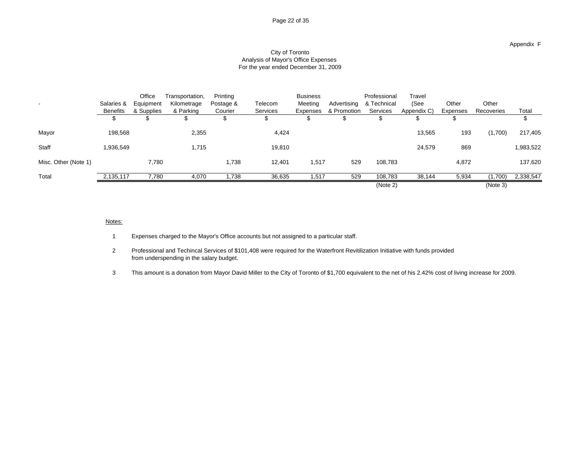### Appendix F

### City of Toronto Analysis of Mayor's Office Expenses For the year ended December 31, 2009

|                      |           |       | Office Transportation,           | Printing  |          | <b>Business</b> |     | Professional                         | Travel |                                                                     |                         |                   |
|----------------------|-----------|-------|----------------------------------|-----------|----------|-----------------|-----|--------------------------------------|--------|---------------------------------------------------------------------|-------------------------|-------------------|
|                      |           |       | Salaries & Equipment Kilometrage | Postage & | Telecom  |                 |     | Meeting Advertising & Technical (See |        | Other                                                               | Other                   |                   |
|                      |           |       | Benefits & Supplies & Parking    | Courier   | Services |                 |     |                                      |        | Expenses & Promotion Services Appendix C) Expenses Recoveries Total |                         |                   |
|                      |           |       |                                  |           |          |                 |     |                                      |        |                                                                     |                         |                   |
|                      |           |       |                                  |           |          |                 |     |                                      |        |                                                                     |                         |                   |
| Mayor                | 198,568   |       | 2,355                            |           | 4,424    |                 |     |                                      | 13,565 | 193                                                                 |                         | $(1,700)$ 217,405 |
|                      |           |       |                                  |           |          |                 |     |                                      |        |                                                                     |                         |                   |
| Staff                | 1,936,549 |       | 1,715                            |           | 19,810   |                 |     |                                      | 24,579 | 869                                                                 |                         | 1,983,522         |
| Misc. Other (Note 1) |           | 7,780 |                                  | 1,738     | 12,401   | 1,517           |     | 529 108,783                          |        | 4,872                                                               |                         | 137,620           |
|                      |           |       |                                  |           |          |                 |     |                                      |        |                                                                     |                         |                   |
| Total                |           |       |                                  |           | 36.635   | 1.517           | 529 | 108.783                              | 38.144 |                                                                     | 5,934 (1,700) 2,338,547 |                   |
|                      |           |       |                                  |           |          |                 |     | (Note 2)                             |        |                                                                     | (Note 3)                |                   |

### notes: the contract of the contract of the contract of the contract of the contract of the contract of the contract of the contract of the contract of the contract of the contract of the contract of the contract of the con

1 Expenses charged to the Mayor's Office accounts but not assigned to a particular staff.

2 Professional and Techincal Services of \$101,408 were required for the Waterfront Revitilization Initiative with funds provided from underspending in the salary budget.

3 This amount is a donation from Mayor David Miller to the City of Toronto of \$1,700 equivalent to the net of his 2.42% cost of living increase for 2009.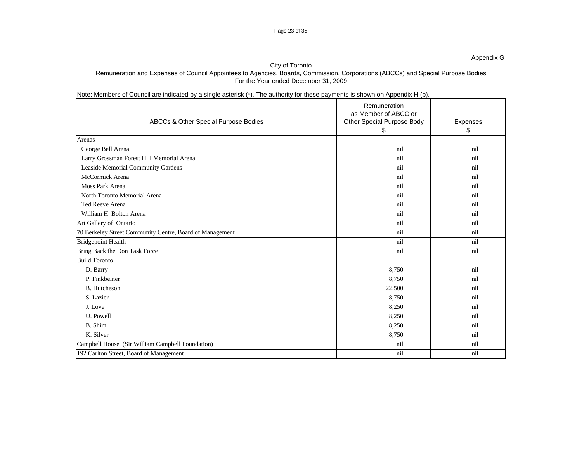# Note: Members of Council are indicated by a single asterisk (\*). The authority for these payments is shown on Appendix H (b).

|                                                          | Remuneration               |          |
|----------------------------------------------------------|----------------------------|----------|
|                                                          | as Member of ABCC or       |          |
| ABCCs & Other Special Purpose Bodies                     | Other Special Purpose Body | Expenses |
|                                                          |                            |          |
| Arenas                                                   |                            |          |
| George Bell Arena                                        | nil                        | nil      |
| Larry Grossman Forest Hill Memorial Arena                | ni                         | nil      |
| Leaside Memorial Community Gardens                       | ni                         | nil      |
| McCormick Arena                                          | $n_{1}$                    | nil      |
| Moss Park Arena                                          | $n_{1}$                    | nil      |
| North Toronto Memorial Arena                             | ni                         | nil      |
| Ted Reeve Arena                                          | ni                         | nil      |
| William H. Bolton Arena                                  | nil                        | nil      |
| Art Gallery of Ontario                                   | nil                        | nil      |
| 70 Berkeley Street Community Centre, Board of Management | nil                        | nil      |
| Bridgepoint Health                                       | nil                        | nil      |
| Bring Back the Don Task Force                            | nil                        | nil      |
| <b>Build Toronto</b>                                     |                            |          |
| D. Barry                                                 | 8,750                      | nil      |
| P. Finkbeiner                                            | 8,750                      | nil      |
| B. Hutcheson                                             | 22,500                     | nil      |
| S. Lazier                                                | 8,750                      | nil      |
| J. Love                                                  | 8,250                      | nil      |
| U. Powell                                                | 8,250                      | nil      |
| B. Shim                                                  | 8,250                      | nil      |
| K. Silver                                                | 8,750                      | nil      |
| Campbell House (Sir William Campbell Foundation)         | nil                        | nil      |
| 192 Carlton Street, Board of Management                  | nil                        | nil      |
|                                                          |                            |          |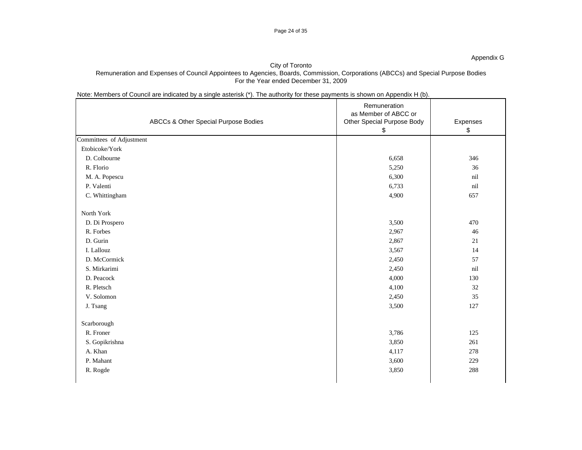# Note: Members of Council are indicated by a single asterisk (\*). The authority for these payments is shown on Appendix H (b).

|                          |                                      | Remuneration<br>as Member of ABCC or |                 |
|--------------------------|--------------------------------------|--------------------------------------|-----------------|
|                          | ABCCs & Other Special Purpose Bodies | Other Special Purpose Body           | Expenses<br>-\$ |
| Committees of Adjustment |                                      |                                      |                 |
| Etobicoke/York           |                                      |                                      |                 |
| D. Colbourne             |                                      | 6,658                                | 346             |
| R. Florio                |                                      | 5,250                                | 36              |
| M. A. Popescu            |                                      | 6,300                                | nil             |
| P. Valenti               |                                      | 6,733                                | nil             |
| C. Whittingham           |                                      | 4,900                                | 657             |
|                          |                                      |                                      |                 |
| North York               |                                      |                                      |                 |
| D. Di Prospero           |                                      | 3,500                                | 470             |
| R. Forbes                |                                      | 2,967                                | 46              |
| D. Gurin                 |                                      | 2,867                                | 21              |
| I. Lallouz               |                                      | 3,567                                | 14              |
| D. McCormick             |                                      | 2,450                                | 57              |
| S. Mirkarimi             |                                      | 2,450                                | nil             |
| D. Peacock               |                                      | 4,000                                | 130             |
| R. Pletsch               |                                      | 4,100                                | 32              |
| V. Solomon               |                                      | 2,450                                | 35              |
| J. Tsang                 |                                      | 3,500                                | 127             |
|                          |                                      |                                      |                 |
| Scarborough              |                                      |                                      |                 |
| R. Froner                |                                      | 3,786                                | 125             |
| S. Gopikrishna           |                                      | 3,850                                | 261             |
| A. Khan                  |                                      | 4,117                                | 278             |
| P. Mahant                |                                      | 3,600                                | 229             |
| R. Rogde                 |                                      | 3,850                                | 288             |
|                          |                                      |                                      |                 |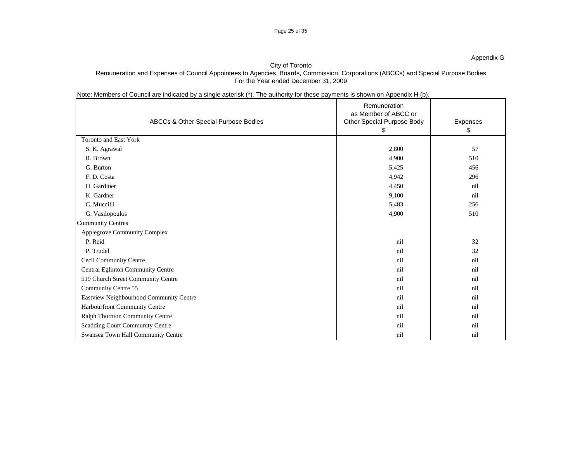# Note: Members of Council are indicated by a single asterisk (\*). The authority for these payments is shown on Appendix H (b).

|                                         | Remuneration<br>as Member of ABCC or |          |
|-----------------------------------------|--------------------------------------|----------|
| ABCCs & Other Special Purpose Bodies    | Other Special Purpose Body           | Expenses |
| Toronto and East York                   |                                      |          |
| S. K. Agrawal                           | 2,800                                | 57       |
| R. Brown                                | 4,900                                | 510      |
| G. Burton                               | 5,425                                | 456      |
| F. D. Costa                             | 4,942                                | 296      |
| H. Gardiner                             | 4,450                                | nil      |
| K. Gardner                              | 9,100                                | nil      |
| C. Muccilli                             | 5,483                                | 256      |
| G. Vasilopoulos                         | 4,900                                | 510      |
| <b>Community Centres</b>                |                                      |          |
| Applegrove Community Complex            |                                      |          |
| P. Reid                                 | nil                                  | 32       |
| P. Trudel                               |                                      | 32       |
| <b>Cecil Community Centre</b>           |                                      | nil      |
| Central Eglinton Community Centre       |                                      | nil      |
| 519 Church Street Community Centre      |                                      | nil      |
| Community Centre 55                     |                                      | nil      |
| Eastview Neighbourhood Community Centre |                                      | nil      |
| Harbourfront Community Centre           |                                      | nil      |
| Ralph Thornton Community Centre         |                                      | nil      |
| Scadding Court Community Centre         |                                      | nil      |
| Swansea Town Hall Community Centre      | nil                                  | nil      |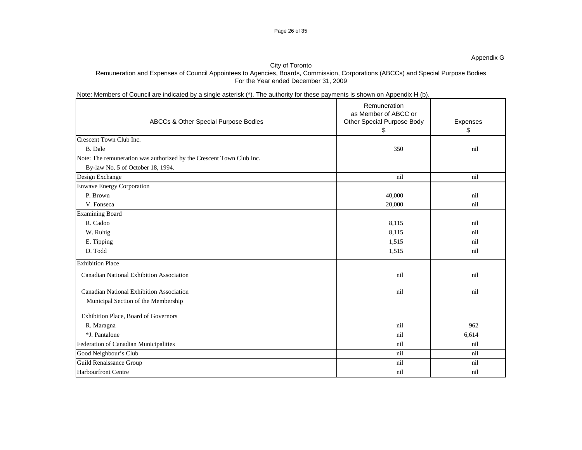## Note: Members of Council are indicated by a single asterisk (\*). The authority for these payments is shown on Appendix H (b).

| ABCCs & Other Special Purpose Bodies                                 | Remuneration<br>as Member of ABCC or<br>Other Special Purpose Body | Expenses |
|----------------------------------------------------------------------|--------------------------------------------------------------------|----------|
|                                                                      |                                                                    |          |
| Crescent Town Club Inc.                                              |                                                                    |          |
| B. Dale                                                              | 350                                                                | nil      |
| Note: The remuneration was authorized by the Crescent Town Club Inc. |                                                                    |          |
| By-law No. 5 of October 18, 1994.                                    |                                                                    |          |
| Design Exchange                                                      | nil                                                                | nil      |
| Enwave Energy Corporation                                            |                                                                    |          |
| P. Brown                                                             | 40,000                                                             | nil      |
| V. Fonseca                                                           | 20,000                                                             | nil      |
| <b>Examining Board</b>                                               |                                                                    |          |
| R. Cadoo                                                             | 8,115                                                              | nil      |
| W. Ruhig                                                             | 8,115                                                              | nil      |
| E. Tipping                                                           | 1,515                                                              | nil      |
| D. Todd                                                              | 1,515                                                              | nil      |
| <b>Exhibition Place</b>                                              |                                                                    |          |
| Canadian National Exhibition Association                             | nil                                                                | nil      |
| Canadian National Exhibition Association                             | nil                                                                | nil      |
| Municipal Section of the Membership                                  |                                                                    |          |
| Exhibition Place, Board of Governors                                 |                                                                    |          |
| R. Maragna                                                           | nil                                                                | 962      |
| *J. Pantalone                                                        | nil                                                                | 6,614    |
| Federation of Canadian Municipalities                                | nil                                                                | nil      |
| Good Neighbour's Club                                                | nil                                                                | nil      |
| Guild Renaissance Group                                              | nil                                                                | nil      |
| Harbourfront Centre                                                  | nil                                                                | nil      |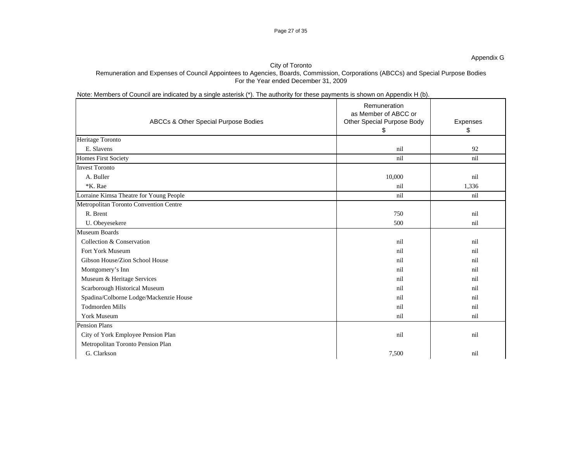|                                         | Remuneration               |          |
|-----------------------------------------|----------------------------|----------|
|                                         | as Member of ABCC or       |          |
| ABCCs & Other Special Purpose Bodies    | Other Special Purpose Body | Expenses |
|                                         |                            |          |
| Heritage Toronto                        |                            |          |
| E. Slavens                              | nil                        | 92       |
| <b>Homes First Society</b>              | nil                        | nil      |
| <b>Invest Toronto</b>                   |                            |          |
| A. Buller                               | 10,000                     | nil      |
| *K. Rae                                 | nil                        | 1,336    |
| Lorraine Kimsa Theatre for Young People | nil                        | nil      |
| Metropolitan Toronto Convention Centre  |                            |          |
| R. Brent                                | 750                        | nil      |
| U. Obeyesekere                          | 500                        | nil      |
| Museum Boards                           |                            |          |
| Collection & Conservation               | nil                        | nil      |
| Fort York Museum                        |                            |          |
| Gibson House/Zion School House          |                            |          |
| Montgomery's Inn                        |                            |          |
| Museum & Heritage Services              |                            |          |
| Scarborough Historical Museum           |                            |          |
| Spadina/Colborne Lodge/Mackenzie House  |                            |          |
| Todmorden Mills                         |                            |          |
| York Museum                             | nil                        |          |
| Pension Plans                           |                            |          |
| City of York Employee Pension Plan      | nil                        | nil      |
| Metropolitan Toronto Pension Plan       |                            |          |
| G. Clarkson                             | 7,500                      | nil      |

Appendix G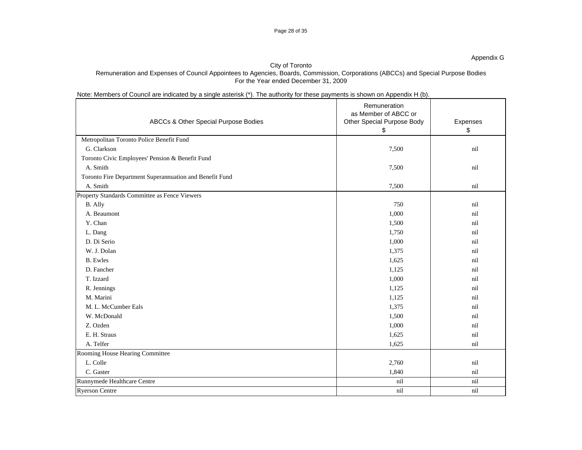# Note: Members of Council are indicated by a single asterisk (\*). The authority for these payments is shown on Appendix H (b).

|                                                         | Remuneration                                       |               |
|---------------------------------------------------------|----------------------------------------------------|---------------|
| ABCCs & Other Special Purpose Bodies                    | as Member of ABCC or<br>Other Special Purpose Body | Expenses      |
|                                                         |                                                    | $\sqrt[6]{3}$ |
| Metropolitan Toronto Police Benefit Fund                |                                                    |               |
| G. Clarkson                                             | 7,500                                              | nil           |
| Toronto Civic Employees' Pension & Benefit Fund         |                                                    |               |
| A. Smith                                                | 7,500                                              | nil           |
| Toronto Fire Department Superannuation and Benefit Fund |                                                    |               |
| A. Smith                                                | 7,500                                              | nil           |
| Property Standards Committee as Fence Viewers           |                                                    |               |
| B. Ally                                                 | 750                                                | nil           |
| A. Beaumont                                             | 1,000                                              | nil           |
| Y. Chan                                                 | 1,500                                              | nil           |
| L. Dang                                                 | 1,750                                              |               |
| D. Di Serio                                             | 1,000                                              |               |
| W. J. Dolan                                             | 1,375                                              | nil           |
| <b>B.</b> Ewles                                         | 1,625                                              |               |
| D. Fancher                                              | 1,125                                              |               |
| T. Izzard                                               | 1,000                                              |               |
| R. Jennings                                             | 1,125                                              |               |
| M. Marini                                               | 1,125                                              |               |
| M. L. McCumber Eals                                     | 1,375                                              |               |
| W. McDonald                                             | 1,500                                              |               |
| Z. Ozden                                                | 1,000                                              | nil           |
| E. H. Straus                                            | 1,625                                              | nil           |
| A. Telfer                                               | 1,625                                              | nil           |
| Rooming House Hearing Committee                         |                                                    |               |
| L. Colle                                                | 2,760                                              | nil           |
| C. Gaster                                               | 1,840                                              | nil           |
| Runnymede Healthcare Centre                             | nil                                                | nil           |
| <b>Ryerson Centre</b>                                   | nil                                                | nil           |

Page 28 of 35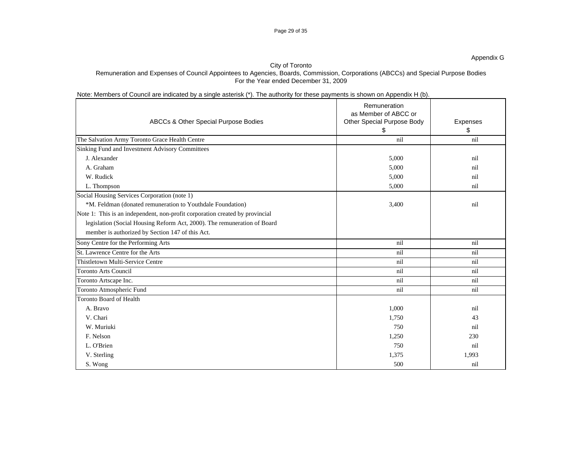### Page 29 of 35

## City of Toronto Remuneration and Expenses of Council Appointees to Agencies, Boards, Commission, Corporations (ABCCs) and Special Purpose Bodies For the Year ended December 31, 2009

# Note: Members of Council are indicated by a single asterisk (\*). The authority for these payments is shown on Appendix H (b).

|                                                                              | Remuneration<br>as Member of ABCC or |          |
|------------------------------------------------------------------------------|--------------------------------------|----------|
| ABCCs & Other Special Purpose Bodies                                         | Other Special Purpose Body           | Expenses |
|                                                                              |                                      |          |
| The Salvation Army Toronto Grace Health Centre                               | nil                                  | nil      |
| Sinking Fund and Investment Advisory Committees                              |                                      |          |
| J. Alexander                                                                 | 5,000                                | nil      |
| A. Graham                                                                    | 5,000                                |          |
| W. Rudick                                                                    | 5,000                                |          |
| L. Thompson                                                                  | 5,000                                | nil      |
| Social Housing Services Corporation (note 1)                                 |                                      |          |
| *M. Feldman (donated remuneration to Youthdale Foundation)                   | 3,400                                | nil      |
| Note 1: This is an independent, non-profit corporation created by provincial |                                      |          |
| legislation (Social Housing Reform Act, 2000). The remuneration of Board     |                                      |          |
| member is authorized by Section 147 of this Act.                             |                                      |          |
| Sony Centre for the Performing Arts                                          | nil                                  | nil      |
| St. Lawrence Centre for the Arts                                             | nil                                  | nil      |
| Thistletown Multi-Service Centre                                             | nil                                  | nil      |
| <b>Toronto Arts Council</b>                                                  | nil                                  | nil      |
| Toronto Artscape Inc.                                                        | nil                                  | nil      |
| Toronto Atmospheric Fund                                                     | nil                                  | nil      |
| Toronto Board of Health                                                      |                                      |          |
| A. Bravo                                                                     | 1,000                                | nil      |
| V. Chari                                                                     | 1,750                                | 43       |
| W. Muriuki                                                                   | 750                                  | nil      |
|                                                                              |                                      |          |
| F. Nelson                                                                    | 1,250                                | 230      |
| L. O'Brien                                                                   | 750                                  | nil      |
| V. Sterling                                                                  | 1,375                                | 1,993    |
| S. Wong                                                                      | 500                                  | nil      |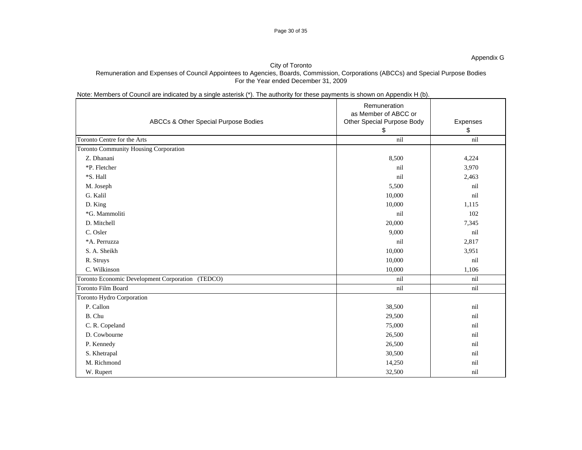# Note: Members of Council are indicated by a single asterisk (\*). The authority for these payments is shown on Appendix H (b).

|                                       |                                                  | Remuneration<br>as Member of ABCC or |          |
|---------------------------------------|--------------------------------------------------|--------------------------------------|----------|
|                                       | ABCCs & Other Special Purpose Bodies             | Other Special Purpose Body           | Expenses |
|                                       |                                                  |                                      |          |
| Toronto Centre for the Arts           |                                                  | nil                                  | nil      |
| Toronto Community Housing Corporation |                                                  |                                      |          |
| Z. Dhanani                            |                                                  | 8,500                                | 4,224    |
| *P. Fletcher                          |                                                  | nil                                  | 3,970    |
| *S. Hall                              |                                                  | nil                                  | 2,463    |
| M. Joseph                             |                                                  | 5,500                                | nil      |
| G. Kalil                              |                                                  | 10,000                               | nil      |
| D. King                               |                                                  | 10,000                               | 1,115    |
| *G. Mammoliti                         |                                                  | nil                                  | 102      |
| D. Mitchell                           |                                                  | 20,000                               | 7,345    |
| C. Osler                              |                                                  | 9,000                                | nil      |
| *A. Perruzza                          |                                                  | nil                                  | 2,817    |
| S. A. Sheikh                          |                                                  | 10,000                               | 3,951    |
| R. Struys                             |                                                  | 10,000                               | nil      |
| C. Wilkinson                          |                                                  | 10,000                               | 1,106    |
|                                       | Toronto Economic Development Corporation (TEDCO) | nil                                  | nil      |
| Toronto Film Board                    |                                                  | nil                                  | nil      |
| Toronto Hydro Corporation             |                                                  |                                      |          |
| P. Callon                             |                                                  | 38,500                               | nil      |
| B. Chu                                |                                                  | 29,500                               | nil      |
| C. R. Copeland                        |                                                  | 75,000                               | nil      |
| D. Cowbourne                          |                                                  | 26,500                               | nil      |
| P. Kennedy                            |                                                  | 26,500                               | nil      |
| S. Khetrapal                          |                                                  | 30,500                               | nil      |
| M. Richmond                           |                                                  | 14,250                               | nil      |
| W. Rupert                             |                                                  | 32,500                               | nil      |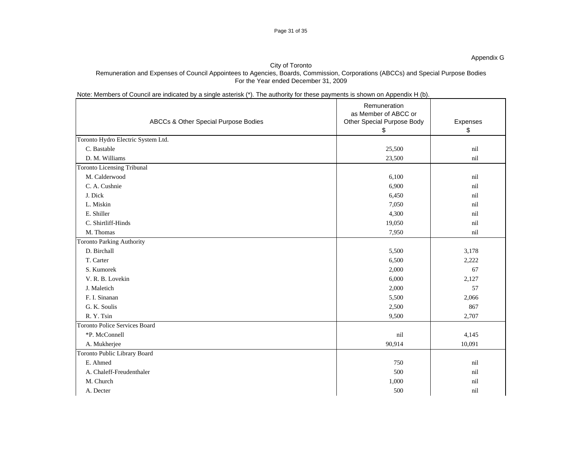# Note: Members of Council are indicated by a single asterisk (\*). The authority for these payments is shown on Appendix H (b).

|                                      | Remuneration               |               |
|--------------------------------------|----------------------------|---------------|
|                                      | as Member of ABCC or       |               |
| ABCCs & Other Special Purpose Bodies | Other Special Purpose Body | Expenses      |
|                                      |                            | $\sqrt[6]{3}$ |
| Toronto Hydro Electric System Ltd.   |                            |               |
| C. Bastable                          | 25,500                     | nil           |
| D. M. Williams                       | 23,500                     | nil           |
| <b>Toronto Licensing Tribunal</b>    |                            |               |
| M. Calderwood                        | 6,100                      | nil           |
| C. A. Cushnie                        | 6,900                      | nil           |
| J. Dick                              | 6,450                      | nil           |
| L. Miskin                            | 7,050                      | nil           |
| E. Shiller                           | 4,300                      | nil           |
| C. Shirtliff-Hinds                   | 19,050                     | nil           |
| M. Thomas                            | 7,950                      | nil           |
| <b>Toronto Parking Authority</b>     |                            |               |
| D. Birchall                          | 5,500                      | 3,178         |
| T. Carter                            | 6,500                      | 2,222         |
| S. Kumorek                           | 2,000                      | 67            |
| V. R. B. Lovekin                     | 6,000                      | 2,127         |
| J. Maletich                          | 2,000                      | 57            |
| F. I. Sinanan                        | 5,500                      | 2,066         |
| G. K. Soulis                         | 2,500                      | 867           |
| R.Y.Tsin                             | 9,500                      | 2,707         |
| Toronto Police Services Board        |                            |               |
| *P. McConnell                        | nil                        | 4,145         |
| A. Mukherjee                         | 90,914                     | 10,091        |
| Toronto Public Library Board         |                            |               |
| E. Ahmed                             | 750                        | nil           |
| A. Chaleff-Freudenthaler             | 500                        | nil           |
| M. Church                            | 1,000                      | nil           |
| A. Decter                            | 500                        | nil           |
|                                      |                            |               |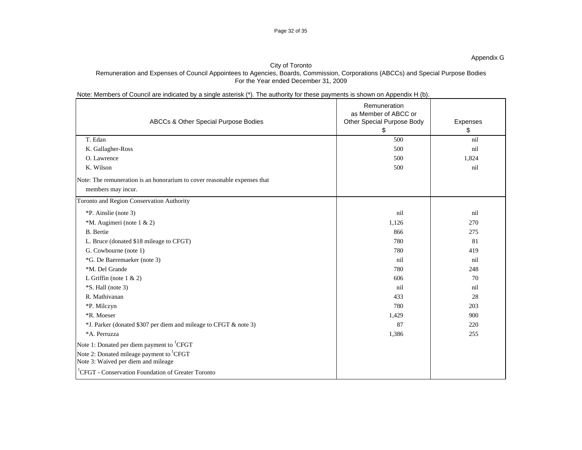|                                                                | ABCCs & Other Special Purpose Bodies                                      | Remuneration<br>as Member of ABCC or<br>Other Special Purpose Body | Expenses |
|----------------------------------------------------------------|---------------------------------------------------------------------------|--------------------------------------------------------------------|----------|
| T. Edan                                                        |                                                                           | 500                                                                | nil      |
| K. Gallagher-Ross                                              |                                                                           | 500                                                                | nil      |
| O. Lawrence                                                    |                                                                           | 500                                                                | 1,824    |
| K. Wilson                                                      |                                                                           | 500                                                                | nil      |
|                                                                | Note: The remuneration is an honorarium to cover reasonable expenses that |                                                                    |          |
| members may incur.                                             |                                                                           |                                                                    |          |
| Toronto and Region Conservation Authority                      |                                                                           |                                                                    |          |
| *P. Ainslie (note 3)                                           |                                                                           | nil                                                                | nil      |
| *M. Augimeri (note 1 & 2)                                      |                                                                           | 1,126                                                              | 270      |
| <b>B.</b> Bertie                                               |                                                                           | 866                                                                | 275      |
| L. Bruce (donated \$18 mileage to CFGT)                        |                                                                           | 780                                                                | 81       |
| G. Cowbourne (note 1)                                          |                                                                           | 780                                                                | 419      |
| *G. De Baeremaeker (note 3)                                    |                                                                           | nil                                                                | nil      |
| *M. Del Grande                                                 |                                                                           | 780                                                                | 248      |
| L Griffin (note $1 & 2$ )                                      |                                                                           | 606                                                                | 70       |
| *S. Hall (note 3)                                              |                                                                           | ni                                                                 | nil      |
| R. Mathivanan                                                  |                                                                           | 433                                                                | 28       |
| *P. Milczyn                                                    |                                                                           | 780                                                                | 203      |
| *R. Moeser                                                     |                                                                           | 1,429                                                              | 900      |
|                                                                | *J. Parker (donated \$307 per diem and mileage to CFGT & note 3)          | -87                                                                | 220      |
| *A. Perruzza                                                   |                                                                           | 1,386                                                              | 255      |
| Note 1: Donated per diem payment to <sup>1</sup> CFGT          |                                                                           |                                                                    |          |
| Note 2: Donated mileage payment to <sup>1</sup> CFGT           |                                                                           |                                                                    |          |
| Note 3: Waived per diem and mileage                            |                                                                           |                                                                    |          |
| <sup>1</sup> CFGT - Conservation Foundation of Greater Toronto |                                                                           |                                                                    |          |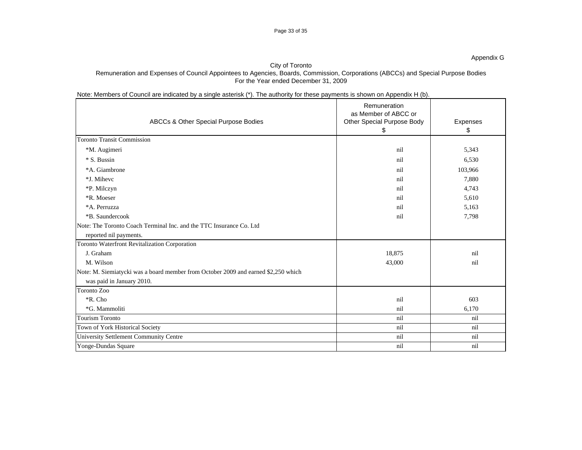## Note: Members of Council are indicated by a single asterisk (\*). The authority for these payments is shown on Appendix H (b).

| ABCCs & Other Special Purpose Bodies                                               | Remuneration<br>as Member of ABCC or<br>Other Special Purpose Body | Expenses |
|------------------------------------------------------------------------------------|--------------------------------------------------------------------|----------|
|                                                                                    |                                                                    |          |
| <b>Toronto Transit Commission</b>                                                  |                                                                    |          |
| *M. Augimeri                                                                       | nil                                                                | 5,343    |
| * S. Bussin                                                                        | nil                                                                | 6,530    |
| *A. Giambrone                                                                      | nil                                                                | 103,966  |
| *J. Mihevc                                                                         | nil                                                                | 7,880    |
| *P. Milczyn                                                                        | nil                                                                | 4,743    |
| *R. Moeser                                                                         | nil                                                                | 5,610    |
| *A. Perruzza                                                                       | nil                                                                | 5,163    |
| *B. Saundercook                                                                    | nil                                                                | 7,798    |
| Note: The Toronto Coach Terminal Inc. and the TTC Insurance Co. Ltd                |                                                                    |          |
| reported nil payments.                                                             |                                                                    |          |
| Toronto Waterfront Revitalization Corporation                                      |                                                                    |          |
| J. Graham                                                                          | 18,875                                                             | nil      |
| M. Wilson                                                                          | 43,000                                                             | nil      |
| Note: M. Siemiatycki was a board member from October 2009 and earned \$2,250 which |                                                                    |          |
| was paid in January 2010.                                                          |                                                                    |          |
| Toronto Zoo                                                                        |                                                                    |          |
| *R. Cho                                                                            | nil                                                                | 603      |
| *G. Mammoliti                                                                      | nil                                                                | 6,170    |
| <b>Tourism Toronto</b>                                                             | nil                                                                | nil      |
| Town of York Historical Society                                                    | nil                                                                | nil      |
| University Settlement Community Centre                                             | nil                                                                | nil      |
| Yonge-Dundas Square                                                                | nil                                                                | nil      |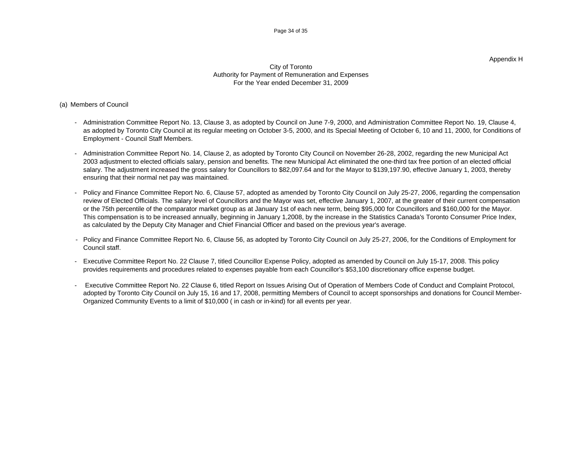### Appendix H

### City of Toronto Authority for Payment of Remuneration and Expenses For the Year ended December 31, 2009

# (a) Members of Council

- Administration Committee Report No. 13, Clause 3, as adopted by Council on June 7-9, 2000, and Administration Committee Report No. 19, Clause 4, as adopted by Toronto City Council at its regular meeting on October 3-5, 2000, and its Special Meeting of October 6, 10 and 11, 2000, for Conditions of Employment - Council Staff Members.
- Administration Committee Report No. 14, Clause 2, as adopted by Toronto City Council on November 26-28, 2002, regarding the new Municipal Act 2003 adjustment to elected officials salary, pension and benefits. The new Municipal Act eliminated the one-third tax free portion of an elected official salary. The adjustment increased the gross salary for Councillors to \$82,097.64 and for the Mayor to \$139,197.90, effective January 1, 2003, thereby ensuring that their normal net pay was maintained.
- Policy and Finance Committee Report No. 6, Clause 57, adopted as amended by Toronto City Council on July 25-27, 2006, regarding the compensation review of Elected Officials. The salary level of Councillors and the Mayor was set, effective January 1, 2007, at the greater of their current compensation or the 75th percentile of the comparator market group as at January 1st of each new term, being \$95,000 for Councillors and \$160,000 for the Mayor. This compensation is to be increased annually, beginning in January 1,2008, by the increase in the Statistics Canada's Toronto Consumer Price Index, as calculated by the Deputy City Manager and Chief Financial Officer and based on the previous year's average.
- Policy and Finance Committee Report No. 6, Clause 56, as adopted by Toronto City Council on July 25-27, 2006, for the Conditions of Employment for Council staff.
- Executive Committee Report No. 22 Clause 7, titled Councillor Expense Policy, adopted as amended by Council on July 15-17, 2008. This policy provides requirements and procedures related to expenses payable from each Councillor's \$53,100 discretionary office expense budget.
- Executive Committee Report No. 22 Clause 6, titled Report on Issues Arising Out of Operation of Members Code of Conduct and Complaint Protocol, adopted by Toronto City Council on July 15, 16 and 17, 2008, permitting Members of Council to accept sponsorships and donations for Council Member-Organized Community Events to a limit of \$10,000 ( in cash or in-kind) for all events per year.